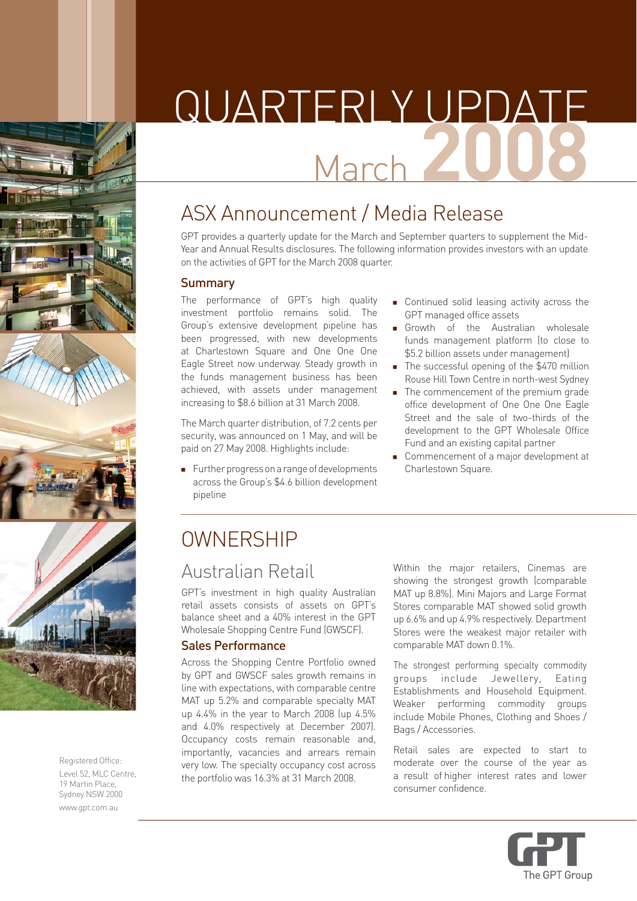





Registered Office: Level 52, MLC Centre, 19 Martin Place, Sydney NSW 2000 www.gpt.com.au

# QUARTERLY UPDATE March **20**

# ASX Announcement / Media Release

GPT provides a quarterly update for the March and September quarters to supplement the Mid-Year and Annual Results disclosures. The following information provides investors with an update on the activities of GPT for the March 2008 quarter.

#### Summary

The performance of GPT's high quality investment portfolio remains solid. The Group's extensive development pipeline has been progressed, with new developments at Charlestown Square and One One One Eagle Street now underway. Steady growth in the funds management business has been achieved, with assets under management increasing to \$8.6 billion at 31 March 2008.

The March quarter distribution, of 7.2 cents per security, was announced on 1 May, and will be paid on 27 May 2008. Highlights include:

**Further progress on a range of developments** across the Group's \$4.6 billion development pipeline

- **Continued solid leasing activity across the** GPT managed office assets
- **Growth** of the Australian wholesale funds management platform (to close to \$5.2 billion assets under management)
- The successful opening of the \$470 million Rouse Hill Town Centre in north-west Sydney
- **The commencement of the premium grade** office development of One One One Eagle Street and the sale of two-thirds of the development to the GPT Wholesale Office Fund and an existing capital partner
- **Commencement of a major development at** Charlestown Square.

# **OWNERSHIP**

### Australian Retail

GPT's investment in high quality Australian retail assets consists of assets on GPT's balance sheet and a 40% interest in the GPT Wholesale Shopping Centre Fund (GWSCF).

#### Sales Performance

Across the Shopping Centre Portfolio owned by GPT and GWSCF sales growth remains in line with expectations, with comparable centre MAT up 5.2% and comparable specialty MAT up 4.4% in the year to March 2008 (up 4.5% and 4.0% respectively at December 2007). Occupancy costs remain reasonable and, importantly, vacancies and arrears remain very low. The specialty occupancy cost across the portfolio was 16.3% at 31 March 2008.

Within the major retailers, Cinemas are showing the strongest growth (comparable MAT up 8.8%). Mini Majors and Large Format Stores comparable MAT showed solid growth up 6.6% and up 4.9% respectively. Department Stores were the weakest major retailer with comparable MAT down 0.1%.

The strongest performing specialty commodity groups include Jewellery, Eating Establishments and Household Equipment. Weaker performing commodity groups include Mobile Phones, Clothing and Shoes / Bags / Accessories.

Retail sales are expected to start to moderate over the course of the year as a result of higher interest rates and lower consumer confidence.

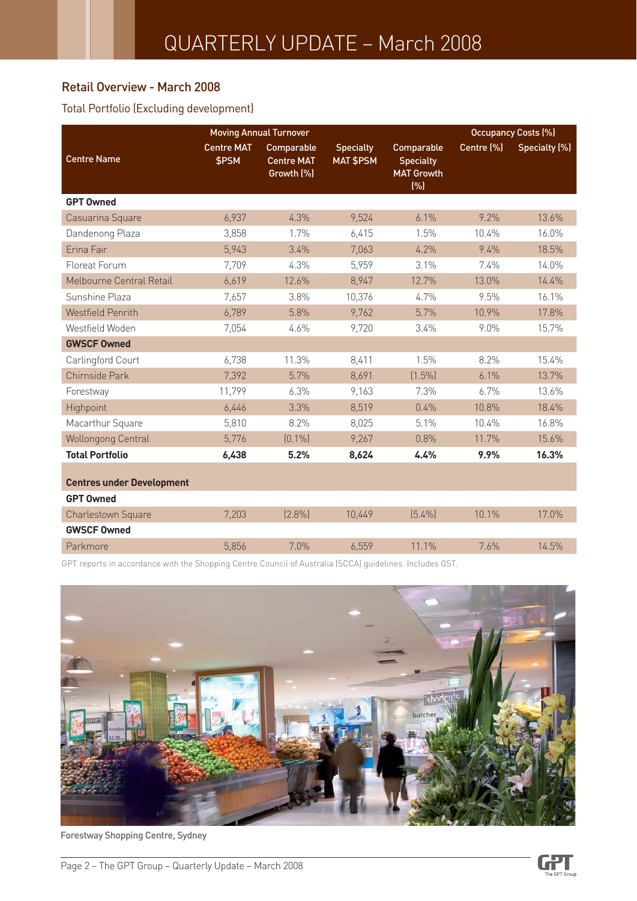#### Retail Overview - March 2008

#### Total Portfolio (Excluding development)

|                                                      |                            | <b>Moving Annual Turnover</b>                 |                                      |                                                            |            | <b>Occupancy Costs (%)</b> |
|------------------------------------------------------|----------------------------|-----------------------------------------------|--------------------------------------|------------------------------------------------------------|------------|----------------------------|
| <b>Centre Name</b>                                   | <b>Centre MAT</b><br>\$PSM | Comparable<br><b>Centre MAT</b><br>Growth (%) | <b>Specialty</b><br><b>MAT \$PSM</b> | Comparable<br><b>Specialty</b><br><b>MAT Growth</b><br>(%) | Centre (%) | Specialty (%)              |
| <b>GPT Owned</b>                                     |                            |                                               |                                      |                                                            |            |                            |
| Casuarina Square                                     | 6,937                      | 4.3%                                          | 9,524                                | 6.1%                                                       | 9.2%       | 13.6%                      |
| Dandenong Plaza                                      | 3,858                      | 1.7%                                          | 6,415                                | 1.5%                                                       | 10.4%      | 16.0%                      |
| Erina Fair                                           | 5,943                      | 3.4%                                          | 7,063                                | 4.2%                                                       | 9.4%       | 18.5%                      |
| Floreat Forum                                        | 7,709                      | 4.3%                                          | 5,959                                | 3.1%                                                       | 7.4%       | 14.0%                      |
| Melbourne Central Retail                             | 6,619                      | 12.6%                                         | 8,947                                | 12.7%                                                      | 13.0%      | 14.4%                      |
| Sunshine Plaza                                       | 7,657                      | 3.8%                                          | 10,376                               | 4.7%                                                       | 9.5%       | 16.1%                      |
| <b>Westfield Penrith</b>                             | 6,789                      | 5.8%                                          | 9,762                                | 5.7%                                                       | 10.9%      | 17.8%                      |
| Westfield Woden                                      | 7,054                      | 4.6%                                          | 9,720                                | 3.4%                                                       | 9.0%       | 15.7%                      |
| <b>GWSCF Owned</b>                                   |                            |                                               |                                      |                                                            |            |                            |
| Carlingford Court                                    | 6,738                      | 11.3%                                         | 8,411                                | 1.5%                                                       | 8.2%       | 15.4%                      |
| Chirnside Park                                       | 7,392                      | 5.7%                                          | 8,691                                | $(1.5\%)$                                                  | 6.1%       | 13.7%                      |
| Forestway                                            | 11,799                     | 6.3%                                          | 9,163                                | 7.3%                                                       | 6.7%       | 13.6%                      |
| Highpoint                                            | 6,446                      | 3.3%                                          | 8,519                                | 0.4%                                                       | 10.8%      | 18.4%                      |
| Macarthur Square                                     | 5,810                      | 8.2%                                          | 8,025                                | 5.1%                                                       | 10.4%      | 16.8%                      |
| <b>Wollongong Central</b>                            | 5,776                      | $(0.1\%)$                                     | 9,267                                | 0.8%                                                       | 11.7%      | 15.6%                      |
| <b>Total Portfolio</b>                               | 6,438                      | 5.2%                                          | 8,624                                | 4.4%                                                       | 9.9%       | 16.3%                      |
| <b>Centres under Development</b><br><b>GPT Owned</b> |                            |                                               |                                      |                                                            |            |                            |
| Charlestown Square                                   | 7,203                      | (2.8%)                                        | 10,449                               | $[5.4\%]$                                                  | 10.1%      | 17.0%                      |
| <b>GWSCF Owned</b>                                   |                            |                                               |                                      |                                                            |            |                            |
| Parkmore                                             | 5,856                      | 7.0%                                          | 6,559                                | 11.1%                                                      | 7.6%       | 14.5%                      |

GPT reports in accordance with the Shopping Centre Council of Australia (SCCA) guidelines. Includes GST.



Forestway Shopping Centre, Sydney

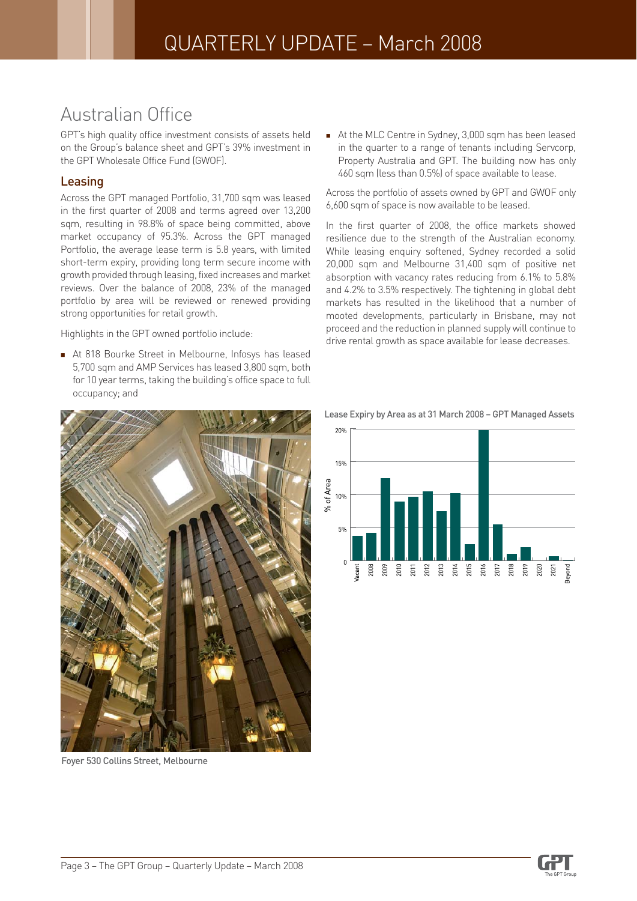### Australian Office

GPT's high quality office investment consists of assets held on the Group's balance sheet and GPT's 39% investment in the GPT Wholesale Office Fund (GWOF).

#### Leasing

Across the GPT managed Portfolio, 31,700 sqm was leased in the first quarter of 2008 and terms agreed over 13,200 sqm, resulting in 98.8% of space being committed, above market occupancy of 95.3%. Across the GPT managed Portfolio, the average lease term is 5.8 years, with limited short-term expiry, providing long term secure income with growth provided through leasing, fixed increases and market reviews. Over the balance of 2008, 23% of the managed portfolio by area will be reviewed or renewed providing strong opportunities for retail growth.

Highlights in the GPT owned portfolio include:

At 818 Bourke Street in Melbourne, Infosys has leased 5,700 sqm and AMP Services has leased 3,800 sqm, both for 10 year terms, taking the building's office space to full occupancy; and



Foyer 530 Collins Street, Melbourne

At the MLC Centre in Sydney, 3,000 sqm has been leased in the quarter to a range of tenants including Servcorp, Property Australia and GPT. The building now has only 460 sqm (less than 0.5%) of space available to lease.

Across the portfolio of assets owned by GPT and GWOF only 6,600 sqm of space is now available to be leased.

In the first quarter of 2008, the office markets showed resilience due to the strength of the Australian economy. While leasing enquiry softened, Sydney recorded a solid 20,000 sqm and Melbourne 31,400 sqm of positive net absorption with vacancy rates reducing from 6.1% to 5.8% and 4.2% to 3.5% respectively. The tightening in global debt markets has resulted in the likelihood that a number of mooted developments, particularly in Brisbane, may not proceed and the reduction in planned supply will continue to drive rental growth as space available for lease decreases.



![](_page_2_Figure_13.jpeg)

![](_page_2_Picture_15.jpeg)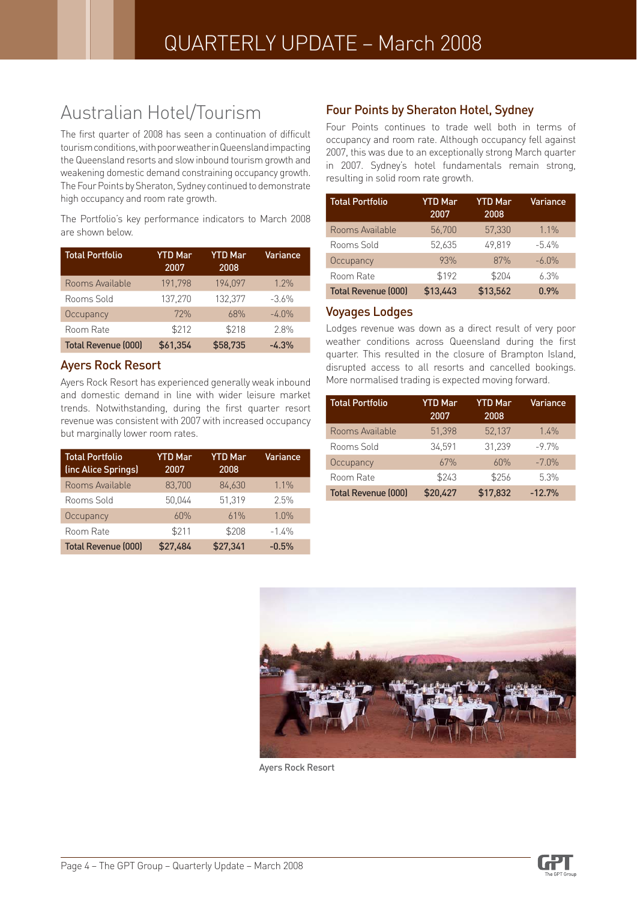## Australian Hotel/Tourism

The first quarter of 2008 has seen a continuation of difficult tourism conditions, with poor weather in Queensland impacting the Queensland resorts and slow inbound tourism growth and weakening domestic demand constraining occupancy growth. The Four Points by Sheraton, Sydney continued to demonstrate high occupancy and room rate growth.

The Portfolio's key performance indicators to March 2008 are shown below.

| <b>Total Portfolio</b>     | <b>YTD Mar</b><br>2007 | <b>YTD</b> Mar<br>2008 | Variance |
|----------------------------|------------------------|------------------------|----------|
| Rooms Available            | 191,798                | 194,097                | 1.2%     |
| Rooms Sold                 | 137.270                | 132,377                | $-3.6%$  |
| Occupancy                  | 72%                    | 68%                    | $-4.0\%$ |
| Room Rate                  | \$212                  | \$218                  | 2.8%     |
| <b>Total Revenue (000)</b> | \$61,354               | \$58,735               | $-4.3%$  |

#### Ayers Rock Resort

Ayers Rock Resort has experienced generally weak inbound and domestic demand in line with wider leisure market trends. Notwithstanding, during the first quarter resort revenue was consistent with 2007 with increased occupancy but marginally lower room rates.

| <b>Total Portfolio</b><br>(inc Alice Springs) | <b>YTD</b> Mar<br>2007 | <b>YTD Mar</b><br>2008 | Variance |
|-----------------------------------------------|------------------------|------------------------|----------|
| Rooms Available                               | 83,700                 | 84.630                 | $1.1\%$  |
| Rooms Sold                                    | 50.044                 | 51.319                 | 2.5%     |
| Occupancy                                     | 60%                    | 61%                    | 1.0%     |
| Room Rate                                     | \$211                  | \$208                  | $-1.4%$  |
| <b>Total Revenue (000)</b>                    | \$27,484               | \$27,341               | $-0.5%$  |

#### Four Points by Sheraton Hotel, Sydney

Four Points continues to trade well both in terms of occupancy and room rate. Although occupancy fell against 2007, this was due to an exceptionally strong March quarter in 2007. Sydney's hotel fundamentals remain strong, resulting in solid room rate growth.

| <b>Total Portfolio</b>     | <b>YTD Mar</b><br>2007 | <b>YTD Mar</b><br>2008 | Variance |
|----------------------------|------------------------|------------------------|----------|
| Rooms Available            | 56,700                 | 57,330                 | 11%      |
| Rooms Sold                 | 52.635                 | 49.819                 | $-5.4\%$ |
| Occupancy                  | 93%                    | 87%                    | $-6.0%$  |
| Room Rate                  | \$192                  | \$204                  | 6.3%     |
| <b>Total Revenue (000)</b> | \$13,443               | \$13,562               | 0.9%     |

#### Voyages Lodges

Lodges revenue was down as a direct result of very poor weather conditions across Queensland during the first quarter. This resulted in the closure of Brampton Island, disrupted access to all resorts and cancelled bookings. More normalised trading is expected moving forward.

| <b>Total Portfolio</b>     | <b>YTD</b> Mar<br>2007 | <b>YTD</b> Mar<br>2008 | Variance |
|----------------------------|------------------------|------------------------|----------|
| Rooms Available            | 51,398                 | 52,137                 | 1.4%     |
| Rooms Sold                 | 34.591                 | 31,239                 | $-9.7%$  |
| Occupancy                  | 67%                    | 60%                    | $-7.0%$  |
| Room Rate                  | \$243                  | \$256                  | 5.3%     |
| <b>Total Revenue (000)</b> | \$20,427               | \$17,832               | $-12.7%$ |

![](_page_3_Picture_14.jpeg)

Ayers Rock Resort

![](_page_3_Picture_17.jpeg)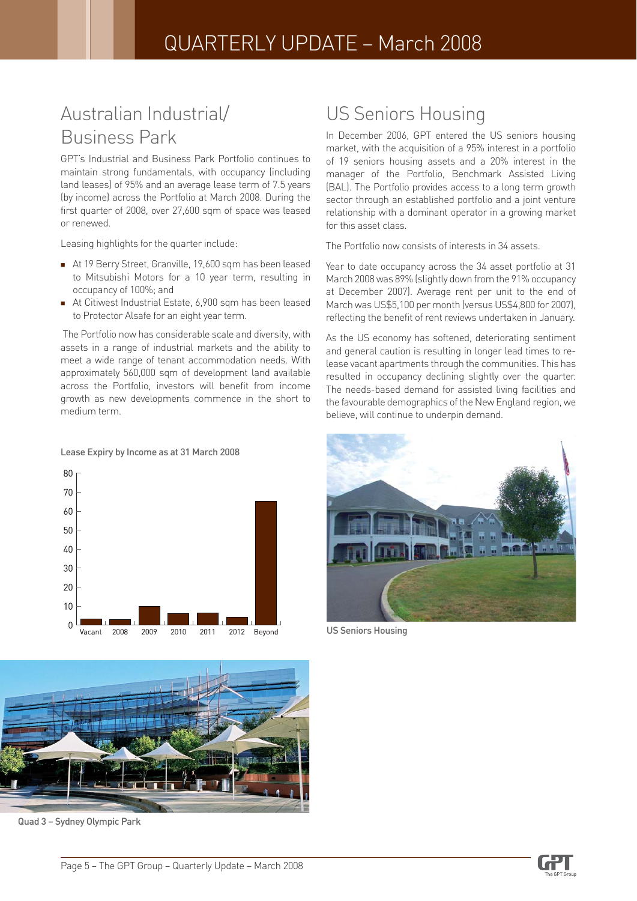### Australian Industrial/ Business Park

GPT's Industrial and Business Park Portfolio continues to maintain strong fundamentals, with occupancy (including land leases) of 95% and an average lease term of 7.5 years (by income) across the Portfolio at March 2008. During the first quarter of 2008, over 27,600 sqm of space was leased or renewed.

Leasing highlights for the quarter include:

- At 19 Berry Street, Granville, 19,600 sqm has been leased to Mitsubishi Motors for a 10 year term, resulting in occupancy of 100%; and
- At Citiwest Industrial Estate, 6,900 sqm has been leased to Protector Alsafe for an eight year term.

 The Portfolio now has considerable scale and diversity, with assets in a range of industrial markets and the ability to meet a wide range of tenant accommodation needs. With approximately 560,000 sqm of development land available across the Portfolio, investors will benefit from income growth as new developments commence in the short to medium term.

#### Lease Expiry by Income as at 31 March 2008

![](_page_4_Figure_8.jpeg)

![](_page_4_Picture_9.jpeg)

Quad 3 – Sydney Olympic Park

### US Seniors Housing

In December 2006, GPT entered the US seniors housing market, with the acquisition of a 95% interest in a portfolio of 19 seniors housing assets and a 20% interest in the manager of the Portfolio, Benchmark Assisted Living (BAL). The Portfolio provides access to a long term growth sector through an established portfolio and a joint venture relationship with a dominant operator in a growing market for this asset class.

The Portfolio now consists of interests in 34 assets.

Year to date occupancy across the 34 asset portfolio at 31 March 2008 was 89% (slightly down from the 91% occupancy at December 2007). Average rent per unit to the end of March was US\$5,100 per month (versus US\$4,800 for 2007), reflecting the benefit of rent reviews undertaken in January.

As the US economy has softened, deteriorating sentiment and general caution is resulting in longer lead times to release vacant apartments through the communities. This has resulted in occupancy declining slightly over the quarter. The needs-based demand for assisted living facilities and the favourable demographics of the New England region, we believe, will continue to underpin demand.

![](_page_4_Picture_16.jpeg)

US Seniors Housing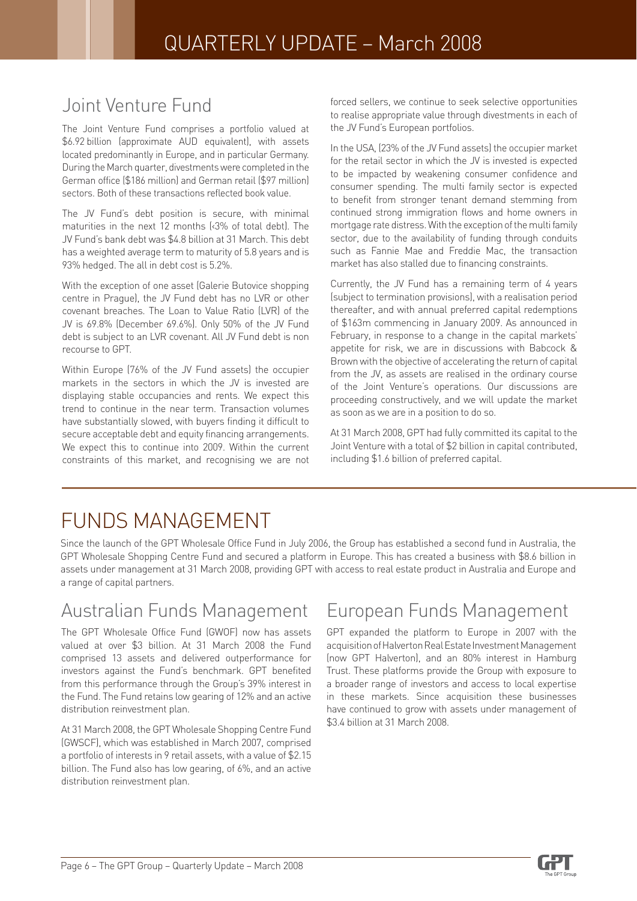### Joint Venture Fund

The Joint Venture Fund comprises a portfolio valued at \$6.92 billion (approximate AUD equivalent), with assets located predominantly in Europe, and in particular Germany. During the March quarter, divestments were completed in the German office (\$186 million) and German retail (\$97 million) sectors. Both of these transactions reflected book value.

The JV Fund's debt position is secure, with minimal maturities in the next 12 months (<3% of total debt). The JV Fund's bank debt was \$4.8 billion at 31 March. This debt has a weighted average term to maturity of 5.8 years and is 93% hedged. The all in debt cost is 5.2%.

With the exception of one asset (Galerie Butovice shopping centre in Prague), the JV Fund debt has no LVR or other covenant breaches. The Loan to Value Ratio (LVR) of the JV is 69.8% (December 69.6%). Only 50% of the JV Fund debt is subject to an LVR covenant. All JV Fund debt is non recourse to GPT.

Within Europe (76% of the JV Fund assets) the occupier markets in the sectors in which the JV is invested are displaying stable occupancies and rents. We expect this trend to continue in the near term. Transaction volumes have substantially slowed, with buyers finding it difficult to secure acceptable debt and equity financing arrangements. We expect this to continue into 2009. Within the current constraints of this market, and recognising we are not forced sellers, we continue to seek selective opportunities to realise appropriate value through divestments in each of the JV Fund's European portfolios.

In the USA, (23% of the JV Fund assets) the occupier market for the retail sector in which the JV is invested is expected to be impacted by weakening consumer confidence and consumer spending. The multi family sector is expected to benefit from stronger tenant demand stemming from continued strong immigration flows and home owners in mortgage rate distress. With the exception of the multi family sector, due to the availability of funding through conduits such as Fannie Mae and Freddie Mac, the transaction market has also stalled due to financing constraints.

Currently, the JV Fund has a remaining term of 4 years (subject to termination provisions), with a realisation period thereafter, and with annual preferred capital redemptions of \$163m commencing in January 2009. As announced in February, in response to a change in the capital markets' appetite for risk, we are in discussions with Babcock & Brown with the objective of accelerating the return of capital from the JV, as assets are realised in the ordinary course of the Joint Venture's operations. Our discussions are proceeding constructively, and we will update the market as soon as we are in a position to do so.

At 31 March 2008, GPT had fully committed its capital to the Joint Venture with a total of \$2 billion in capital contributed, including \$1.6 billion of preferred capital.

# FUNDS MANAGEMENT

Since the launch of the GPT Wholesale Office Fund in July 2006, the Group has established a second fund in Australia, the GPT Wholesale Shopping Centre Fund and secured a platform in Europe. This has created a business with \$8.6 billion in assets under management at 31 March 2008, providing GPT with access to real estate product in Australia and Europe and a range of capital partners.

# Australian Funds Management

The GPT Wholesale Office Fund (GWOF) now has assets valued at over \$3 billion. At 31 March 2008 the Fund comprised 13 assets and delivered outperformance for investors against the Fund's benchmark. GPT benefited from this performance through the Group's 39% interest in the Fund. The Fund retains low gearing of 12% and an active distribution reinvestment plan.

At 31 March 2008, the GPT Wholesale Shopping Centre Fund (GWSCF), which was established in March 2007, comprised a portfolio of interests in 9 retail assets, with a value of \$2.15 billion. The Fund also has low gearing, of 6%, and an active distribution reinvestment plan.

### European Funds Management

GPT expanded the platform to Europe in 2007 with the acquisition of Halverton Real Estate Investment Management (now GPT Halverton), and an 80% interest in Hamburg Trust. These platforms provide the Group with exposure to a broader range of investors and access to local expertise in these markets. Since acquisition these businesses have continued to grow with assets under management of \$3.4 billion at 31 March 2008.

![](_page_5_Picture_18.jpeg)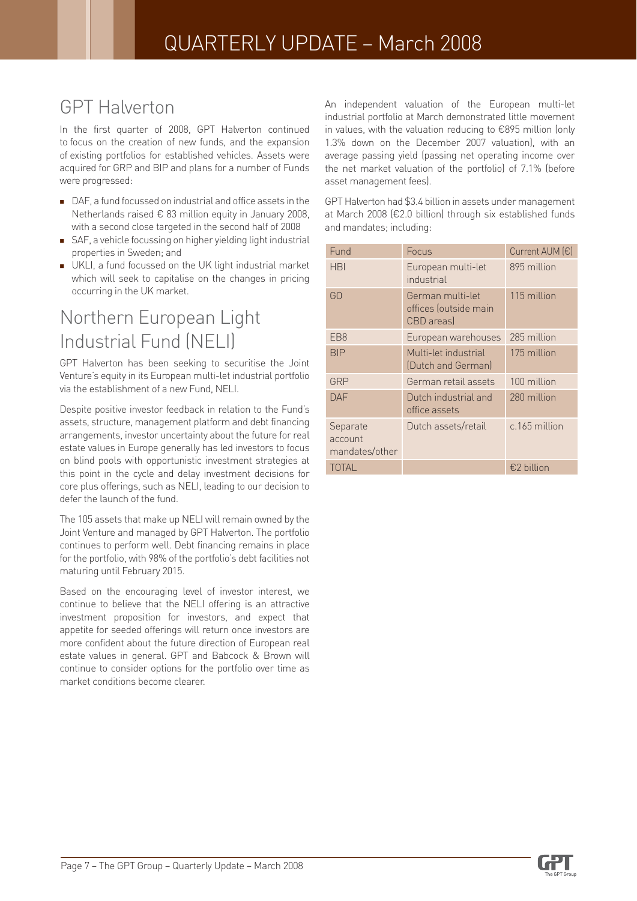### GPT Halverton

In the first quarter of 2008, GPT Halverton continued to focus on the creation of new funds, and the expansion of existing portfolios for established vehicles. Assets were acquired for GRP and BIP and plans for a number of Funds were progressed:

- DAF, a fund focussed on industrial and office assets in the Netherlands raised € 83 million equity in January 2008, with a second close targeted in the second half of 2008
- SAF, a vehicle focussing on higher yielding light industrial properties in Sweden; and
- UKLI, a fund focussed on the UK light industrial market which will seek to capitalise on the changes in pricing occurring in the UK market.

### Northern European Light Industrial Fund (NELI)

GPT Halverton has been seeking to securitise the Joint Venture's equity in its European multi-let industrial portfolio via the establishment of a new Fund, NELI.

Despite positive investor feedback in relation to the Fund's assets, structure, management platform and debt financing arrangements, investor uncertainty about the future for real estate values in Europe generally has led investors to focus on blind pools with opportunistic investment strategies at this point in the cycle and delay investment decisions for core plus offerings, such as NELI, leading to our decision to defer the launch of the fund.

The 105 assets that make up NELI will remain owned by the Joint Venture and managed by GPT Halverton. The portfolio continues to perform well. Debt financing remains in place for the portfolio, with 98% of the portfolio's debt facilities not maturing until February 2015.

Based on the encouraging level of investor interest, we continue to believe that the NELI offering is an attractive investment proposition for investors, and expect that appetite for seeded offerings will return once investors are more confident about the future direction of European real estate values in general. GPT and Babcock & Brown will continue to consider options for the portfolio over time as market conditions become clearer.

An independent valuation of the European multi-let industrial portfolio at March demonstrated little movement in values, with the valuation reducing to €895 million (only 1.3% down on the December 2007 valuation), with an average passing yield (passing net operating income over the net market valuation of the portfolio) of 7.1% (before asset management fees).

GPT Halverton had \$3.4 billion in assets under management at March 2008 (€2.0 billion) through six established funds and mandates; including:

| Fund                                  | Focus                                                   | Current AUM (€) |
|---------------------------------------|---------------------------------------------------------|-----------------|
| <b>HBI</b>                            | European multi-let<br>industrial                        | 895 million     |
| GO                                    | German multi-let<br>offices (outside main<br>CBD areas) | 115 million     |
| EB <sub>8</sub>                       | European warehouses                                     | 285 million     |
| <b>BIP</b>                            | Multi-let industrial<br>(Dutch and German)              | 175 million     |
| GRP                                   | German retail assets                                    | 100 million     |
| DAF                                   | Dutch industrial and<br>office assets                   | 280 million     |
| Separate<br>account<br>mandates/other | Dutch assets/retail                                     | c.165 million   |
| TOTAL                                 |                                                         | €2 billion      |

![](_page_6_Picture_15.jpeg)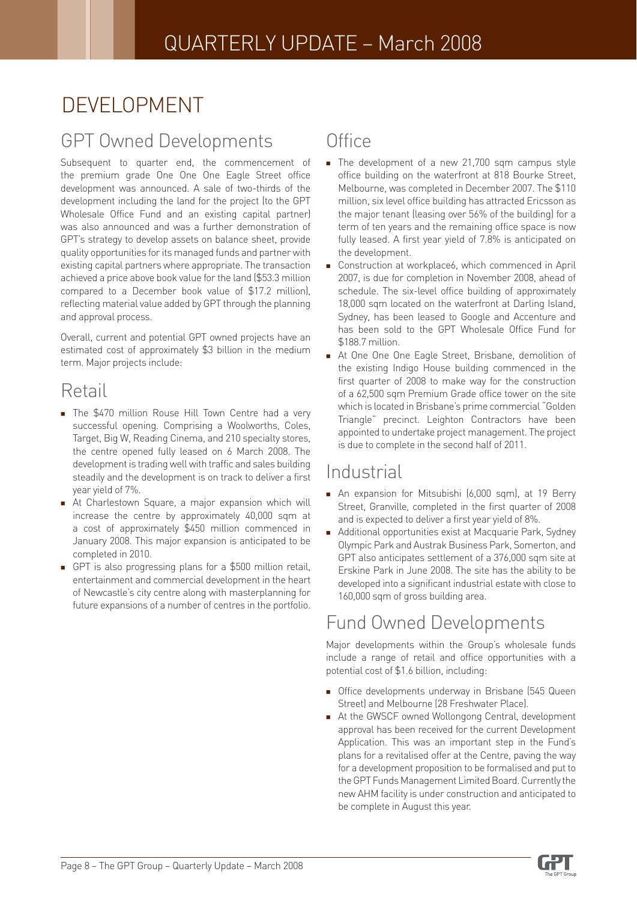# DEVELOPMENT

### GPT Owned Developments

Subsequent to quarter end, the commencement of the premium grade One One One Eagle Street office development was announced. A sale of two-thirds of the development including the land for the project (to the GPT Wholesale Office Fund and an existing capital partner) was also announced and was a further demonstration of GPT's strategy to develop assets on balance sheet, provide quality opportunities for its managed funds and partner with existing capital partners where appropriate. The transaction achieved a price above book value for the land (\$53.3 million compared to a December book value of \$17.2 million), reflecting material value added by GPT through the planning and approval process.

Overall, current and potential GPT owned projects have an estimated cost of approximately \$3 billion in the medium term. Major projects include:

### Retail

- **The \$470 million Rouse Hill Town Centre had a very** successful opening. Comprising a Woolworths, Coles, Target, Big W, Reading Cinema, and 210 specialty stores, the centre opened fully leased on 6 March 2008. The development is trading well with traffic and sales building steadily and the development is on track to deliver a first year yield of 7%.
- At Charlestown Square, a major expansion which will increase the centre by approximately 40,000 sqm at a cost of approximately \$450 million commenced in January 2008. This major expansion is anticipated to be completed in 2010. п
- GPT is also progressing plans for a \$500 million retail, entertainment and commercial development in the heart of Newcastle's city centre along with masterplanning for future expansions of a number of centres in the portfolio. П

### **Office**

- The development of a new 21,700 sqm campus style office building on the waterfront at 818 Bourke Street, Melbourne, was completed in December 2007. The \$110 million, six level office building has attracted Ericsson as the major tenant (leasing over 56% of the building) for a term of ten years and the remaining office space is now fully leased. A first year yield of 7.8% is anticipated on the development.
- Construction at workplace6, which commenced in April 2007, is due for completion in November 2008, ahead of schedule. The six-level office building of approximately 18,000 sqm located on the waterfront at Darling Island, Sydney, has been leased to Google and Accenture and has been sold to the GPT Wholesale Office Fund for \$188.7 million.
- At One One One Eagle Street, Brisbane, demolition of the existing Indigo House building commenced in the first quarter of 2008 to make way for the construction of a 62,500 sqm Premium Grade office tower on the site which is located in Brisbane's prime commercial "Golden Triangle" precinct. Leighton Contractors have been appointed to undertake project management. The project is due to complete in the second half of 2011. F

### **Industrial**

- An expansion for Mitsubishi (6,000 sqm), at 19 Berry Street, Granville, completed in the first quarter of 2008 and is expected to deliver a first year yield of 8%.
- Additional opportunities exist at Macquarie Park, Sydney Olympic Park and Austrak Business Park, Somerton, and GPT also anticipates settlement of a 376,000 sqm site at Erskine Park in June 2008. The site has the ability to be developed into a significant industrial estate with close to 160,000 sqm of gross building area.

### Fund Owned Developments

Major developments within the Group's wholesale funds include a range of retail and office opportunities with a potential cost of \$1.6 billion, including:

- **Deap** Office developments underway in Brisbane (545 Queen Street) and Melbourne (28 Freshwater Place).
- At the GWSCF owned Wollongong Central, development approval has been received for the current Development Application. This was an important step in the Fund's plans for a revitalised offer at the Centre, paving the way for a development proposition to be formalised and put to the GPT Funds Management Limited Board. Currently the new AHM facility is under construction and anticipated to be complete in August this year.

![](_page_7_Picture_21.jpeg)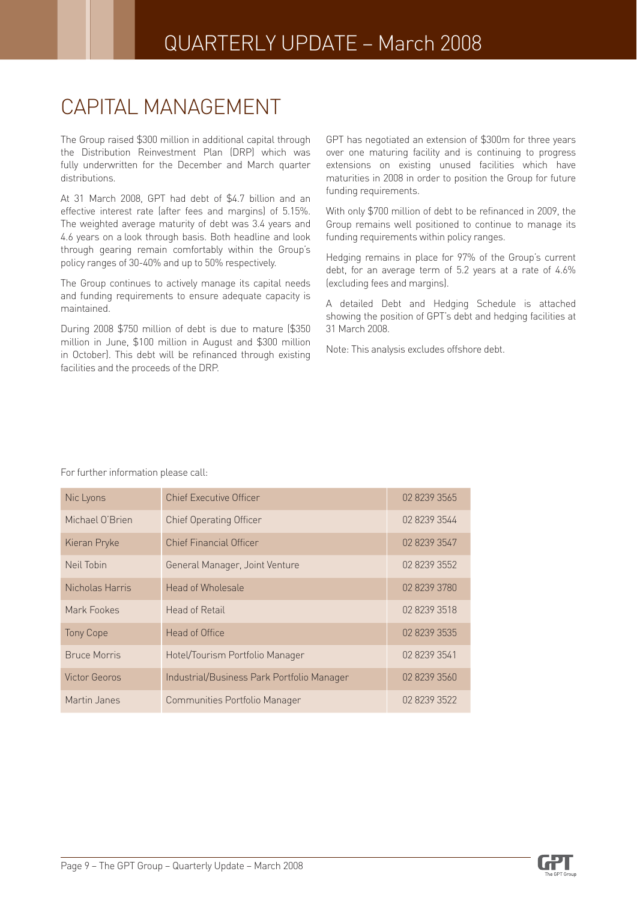# CAPITAL MANAGEMENT

The Group raised \$300 million in additional capital through the Distribution Reinvestment Plan (DRP) which was fully underwritten for the December and March quarter distributions.

At 31 March 2008, GPT had debt of \$4.7 billion and an effective interest rate (after fees and margins) of 5.15%. The weighted average maturity of debt was 3.4 years and 4.6 years on a look through basis. Both headline and look through gearing remain comfortably within the Group's policy ranges of 30-40% and up to 50% respectively.

The Group continues to actively manage its capital needs and funding requirements to ensure adequate capacity is maintained.

During 2008 \$750 million of debt is due to mature (\$350 million in June, \$100 million in August and \$300 million in October). This debt will be refinanced through existing facilities and the proceeds of the DRP.

GPT has negotiated an extension of \$300m for three years over one maturing facility and is continuing to progress extensions on existing unused facilities which have maturities in 2008 in order to position the Group for future funding requirements.

With only \$700 million of debt to be refinanced in 2009, the Group remains well positioned to continue to manage its funding requirements within policy ranges.

Hedging remains in place for 97% of the Group's current debt, for an average term of 5.2 years at a rate of 4.6% (excluding fees and margins).

A detailed Debt and Hedging Schedule is attached showing the position of GPT's debt and hedging facilities at 31 March 2008.

Note: This analysis excludes offshore debt.

| Nic Lyons            | <b>Chief Executive Officer</b>             | 02 8239 3565 |
|----------------------|--------------------------------------------|--------------|
| Michael O'Brien      | <b>Chief Operating Officer</b>             | 02 8239 3544 |
| Kieran Pryke         | <b>Chief Financial Officer</b>             | 02 8239 3547 |
| Neil Tobin           | General Manager, Joint Venture             | 02 8239 3552 |
| Nicholas Harris      | Head of Wholesale                          | 02 8239 3780 |
| Mark Fookes          | <b>Head of Retail</b>                      | 02 8239 3518 |
| <b>Tony Cope</b>     | Head of Office                             | 02 8239 3535 |
| <b>Bruce Morris</b>  | Hotel/Tourism Portfolio Manager            | 02 8239 3541 |
| <b>Victor Georos</b> | Industrial/Business Park Portfolio Manager | 02 8239 3560 |
| Martin Janes         | Communities Portfolio Manager              | 02 8239 3522 |

For further information please call:

![](_page_8_Picture_14.jpeg)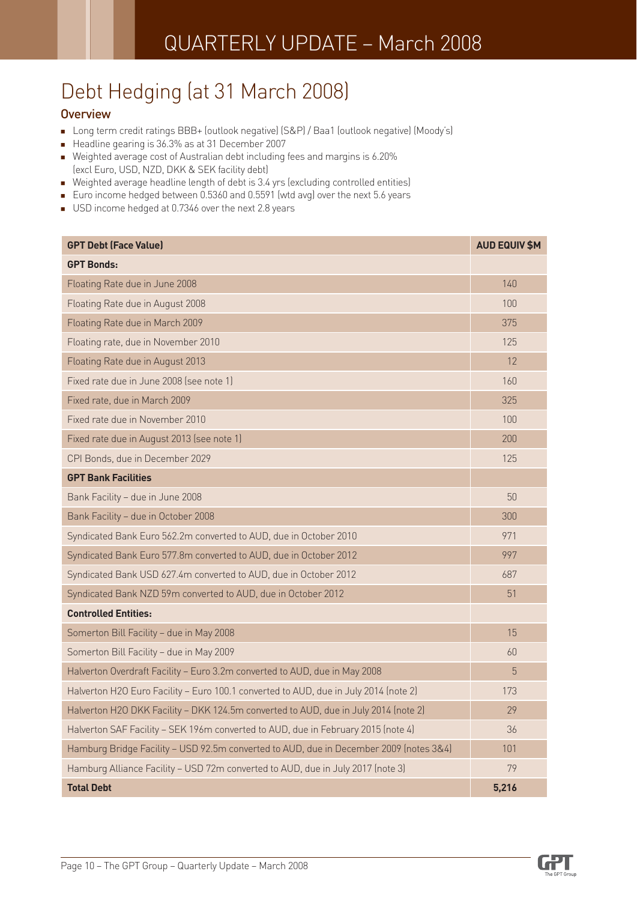# Debt Hedging (at 31 March 2008)

#### **Overview**

- Long term credit ratings BBB+ (outlook negative) (S&P) / Baa1 (outlook negative) (Moody's)
- Headline gearing is 36.3% as at 31 December 2007
- Weighted average cost of Australian debt including fees and margins is 6.20% (excl Euro, USD, NZD, DKK & SEK facility debt)
- Weighted average headline length of debt is 3.4 yrs (excluding controlled entities)
- Euro income hedged between 0.5360 and 0.5591 (wtd avg) over the next 5.6 years
- USD income hedged at 0.7346 over the next 2.8 years

| <b>GPT Debt (Face Value)</b>                                                           | <b>AUD EQUIV \$M</b> |
|----------------------------------------------------------------------------------------|----------------------|
| <b>GPT Bonds:</b>                                                                      |                      |
| Floating Rate due in June 2008                                                         | 140                  |
| Floating Rate due in August 2008                                                       | 100                  |
| Floating Rate due in March 2009                                                        | 375                  |
| Floating rate, due in November 2010                                                    | 125                  |
| Floating Rate due in August 2013                                                       | 12                   |
| Fixed rate due in June 2008 (see note 1)                                               | 160                  |
| Fixed rate, due in March 2009                                                          | 325                  |
| Fixed rate due in November 2010                                                        | 100                  |
| Fixed rate due in August 2013 (see note 1)                                             | 200                  |
| CPI Bonds, due in December 2029                                                        | 125                  |
| <b>GPT Bank Facilities</b>                                                             |                      |
| Bank Facility - due in June 2008                                                       | 50                   |
| Bank Facility - due in October 2008                                                    | 300                  |
| Syndicated Bank Euro 562.2m converted to AUD, due in October 2010                      | 971                  |
| Syndicated Bank Euro 577.8m converted to AUD, due in October 2012                      | 997                  |
| Syndicated Bank USD 627.4m converted to AUD, due in October 2012                       | 687                  |
| Syndicated Bank NZD 59m converted to AUD, due in October 2012                          | 51                   |
| <b>Controlled Entities:</b>                                                            |                      |
| Somerton Bill Facility - due in May 2008                                               | 15                   |
| Somerton Bill Facility - due in May 2009                                               | 60                   |
| Halverton Overdraft Facility - Euro 3.2m converted to AUD, due in May 2008             | 5                    |
| Halverton H2O Euro Facility - Euro 100.1 converted to AUD, due in July 2014 (note 2)   | 173                  |
| Halverton H2O DKK Facility - DKK 124.5m converted to AUD, due in July 2014 (note 2)    | 29                   |
| Halverton SAF Facility - SEK 196m converted to AUD, due in February 2015 (note 4)      | 36                   |
| Hamburg Bridge Facility - USD 92.5m converted to AUD, due in December 2009 (notes 3&4) | 101                  |
| Hamburg Alliance Facility - USD 72m converted to AUD, due in July 2017 (note 3)        | 79                   |
| <b>Total Debt</b>                                                                      | 5,216                |

![](_page_9_Picture_11.jpeg)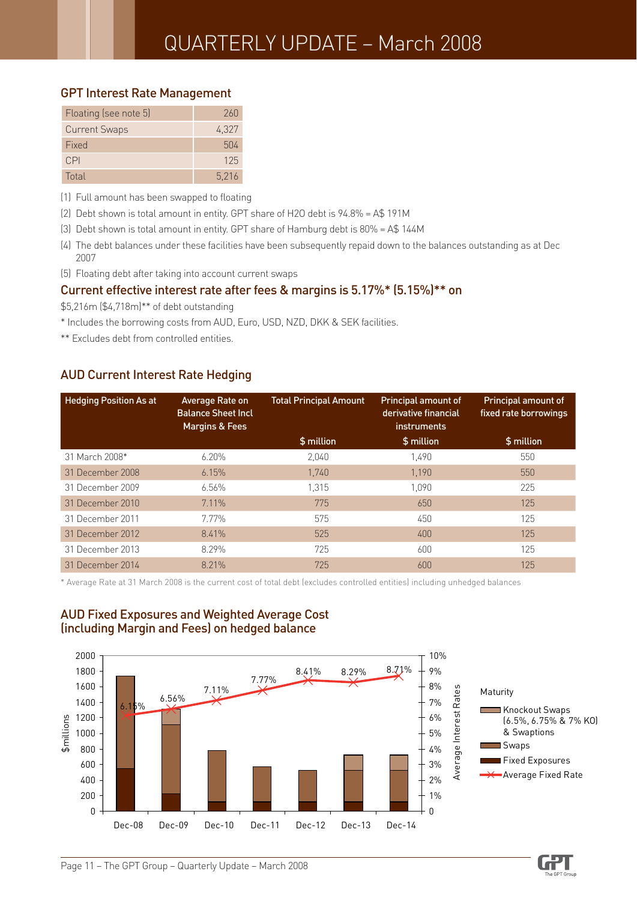#### GPT Interest Rate Management

| Floating (see note 5) | 260   |
|-----------------------|-------|
| <b>Current Swaps</b>  | 4,327 |
| Fixed                 | 504   |
| CPI                   | 125   |
| Total                 | 5.216 |

(1) Full amount has been swapped to floating

- (2) Debt shown is total amount in entity. GPT share of H2O debt is 94.8% = A\$ 191M
- (3) Debt shown is total amount in entity. GPT share of Hamburg debt is 80% = A\$ 144M
- (4) The debt balances under these facilities have been subsequently repaid down to the balances outstanding as at Dec 2007
- (5) Floating debt after taking into account current swaps

#### Current effective interest rate after fees & margins is 5.17%\* (5.15%)\*\* on

\$5,216m (\$4,718m)\*\* of debt outstanding

\* Includes the borrowing costs from AUD, Euro, USD, NZD, DKK & SEK facilities.

\*\* Excludes debt from controlled entities.

#### AUD Current Interest Rate Hedging

| <b>Hedging Position As at</b> | Average Rate on<br><b>Balance Sheet Incl</b><br><b>Margins &amp; Fees</b> | <b>Total Principal Amount</b> | <b>Principal amount of</b><br>derivative financial<br>instruments | <b>Principal amount of</b><br>fixed rate borrowings |
|-------------------------------|---------------------------------------------------------------------------|-------------------------------|-------------------------------------------------------------------|-----------------------------------------------------|
|                               |                                                                           | \$ million                    | \$ million                                                        | \$ million                                          |
| 31 March 2008*                | $6.20\%$                                                                  | 2,040                         | 1.490                                                             | 550                                                 |
| 31 December 2008              | 6.15%                                                                     | 1.740                         | 1.190                                                             | 550                                                 |
| 31 December 2009              | 6.56%                                                                     | 1.315                         | 1.090                                                             | 225                                                 |
| 31 December 2010              | 7.11%                                                                     | 775                           | 650                                                               | 125                                                 |
| 31 December 2011              | 7.77%                                                                     | 575                           | 450                                                               | 125                                                 |
| 31 December 2012              | 8.41%                                                                     | 525                           | 400                                                               | 125                                                 |
| 31 December 2013              | 8.29%                                                                     | 725                           | 600                                                               | 125                                                 |
| 31 December 2014              | 8.21%                                                                     | 725                           | 600                                                               | 125                                                 |

\* Average Rate at 31 March 2008 is the current cost of total debt (excludes controlled entities) including unhedged balances

![](_page_10_Figure_15.jpeg)

#### AUD Fixed Exposures and Weighted Average Cost (including Margin and Fees) on hedged balance

![](_page_10_Picture_18.jpeg)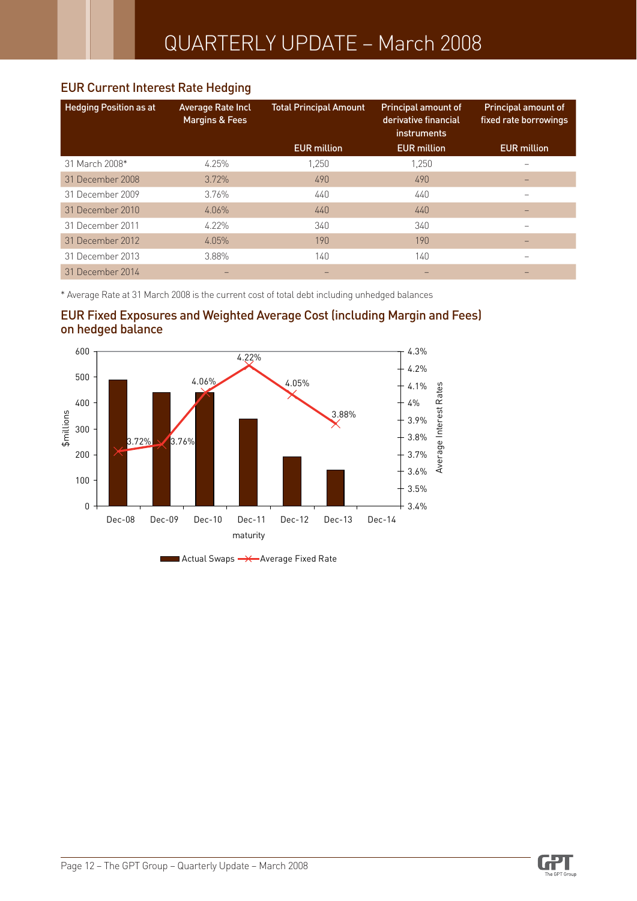#### EUR Current Interest Rate Hedging

| <b>Hedging Position as at</b> | Average Rate Incl<br><b>Margins &amp; Fees</b> | <b>Total Principal Amount</b> | Principal amount of<br>derivative financial<br>instruments | Principal amount of<br>fixed rate borrowings |
|-------------------------------|------------------------------------------------|-------------------------------|------------------------------------------------------------|----------------------------------------------|
|                               |                                                | <b>EUR</b> million            | <b>EUR</b> million                                         | <b>EUR million</b>                           |
| 31 March 2008*                | 4.25%                                          | 1.250                         | 1.250                                                      |                                              |
| 31 December 2008              | 3.72%                                          | 490                           | 490                                                        |                                              |
| 31 December 2009              | 3.76%                                          | 440                           | 440                                                        | -                                            |
| 31 December 2010              | 4.06%                                          | 440                           | 440                                                        |                                              |
| 31 December 2011              | $4.22\%$                                       | 340                           | 340                                                        |                                              |
| 31 December 2012              | 4.05%                                          | 190                           | 190                                                        |                                              |
| 31 December 2013              | 3.88%                                          | 140                           | 140                                                        |                                              |
| 31 December 2014              |                                                |                               |                                                            |                                              |

\* Average Rate at 31 March 2008 is the current cost of total debt including unhedged balances

![](_page_11_Figure_4.jpeg)

![](_page_11_Figure_5.jpeg)

Actual Swaps **->>**Average Fixed Rate

![](_page_11_Picture_8.jpeg)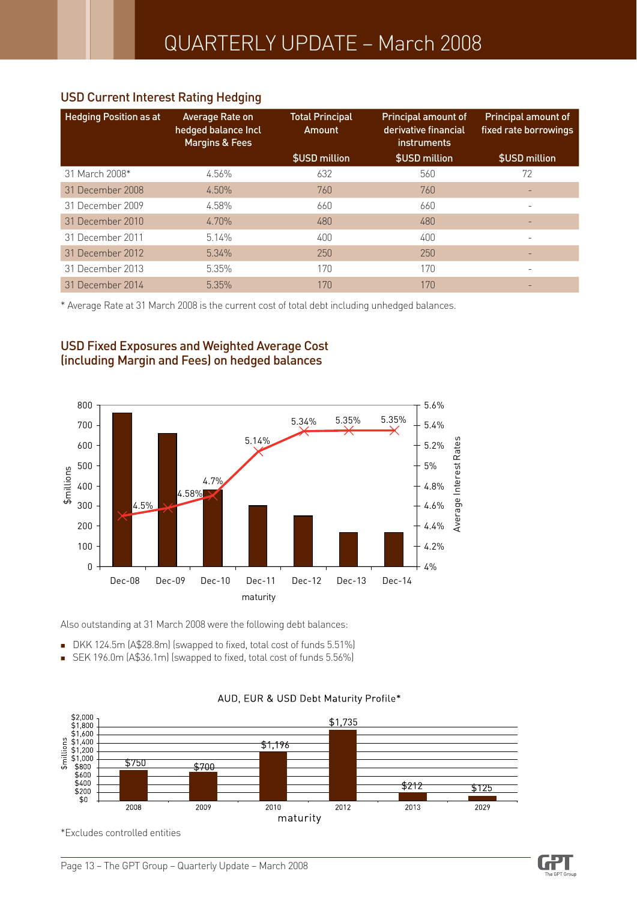#### USD Current Interest Rating Hedging

| <b>Hedging Position as at</b> | Average Rate on<br>hedged balance Incl<br><b>Margins &amp; Fees</b> | <b>Total Principal</b><br>Amount | <b>Principal amount of</b><br>derivative financial<br><i>instruments</i> | <b>Principal amount of</b><br>fixed rate borrowings |
|-------------------------------|---------------------------------------------------------------------|----------------------------------|--------------------------------------------------------------------------|-----------------------------------------------------|
|                               |                                                                     | \$USD million                    | \$USD million                                                            | \$USD million                                       |
| 31 March 2008*                | 4.56%                                                               | 632                              | 560                                                                      | 72                                                  |
| 31 December 2008              | 4.50%                                                               | 760                              | 760                                                                      |                                                     |
| 31 December 2009              | 4.58%                                                               | 660                              | 660                                                                      | ۰                                                   |
| 31 December 2010              | 4.70%                                                               | 480                              | 480                                                                      |                                                     |
| 31 December 2011              | 5.14%                                                               | 400                              | 400                                                                      |                                                     |
| 31 December 2012              | 5.34%                                                               | 250                              | 250                                                                      |                                                     |
| 31 December 2013              | 5.35%                                                               | 170                              | 170                                                                      |                                                     |
| 31 December 2014              | 5.35%                                                               | 170                              | 170                                                                      |                                                     |

\* Average Rate at 31 March 2008 is the current cost of total debt including unhedged balances.

### USD Fixed Exposures and Weighted Average Cost (including Margin and Fees) on hedged balances

![](_page_12_Figure_5.jpeg)

Also outstanding at 31 March 2008 were the following debt balances:

- DKK 124.5m (A\$28.8m) (swapped to fixed, total cost of funds 5.51%)
- SEK 196.0m (A\$36.1m) (swapped to fixed, total cost of funds 5.56%)  $\blacksquare$

![](_page_12_Figure_9.jpeg)

#### AUD, EUR & USD Debt Maturity Profile\*

\*Excludes controlled entities

![](_page_12_Picture_13.jpeg)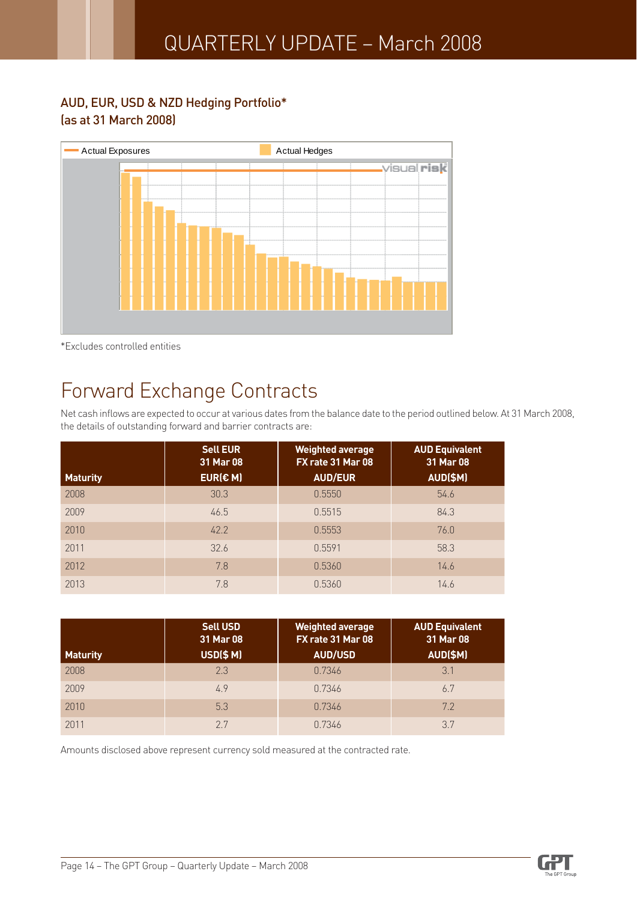#### AUD, EUR, USD & NZD Hedging Portfolio\* (as at 31 March 2008)

![](_page_13_Figure_2.jpeg)

\*Excludes controlled entities

# Forward Exchange Contracts

Net cash inflows are expected to occur at various dates from the balance date to the period outlined below. At 31 March 2008, the details of outstanding forward and barrier contracts are:

|                 | <b>Sell EUR</b><br>31 Mar 08 | <b>Weighted average</b><br>FX rate 31 Mar 08 | <b>AUD Equivalent</b><br>31 Mar 08 |
|-----------------|------------------------------|----------------------------------------------|------------------------------------|
| <b>Maturity</b> | EUR(E M)                     | <b>AUD/EUR</b>                               | AUD(\$M)                           |
| 2008            | 30.3                         | 0.5550                                       | 54.6                               |
| 2009            | 46.5                         | 0.5515                                       | 84.3                               |
| 2010            | 42.2                         | 0.5553                                       | 76.0                               |
| 2011            | 32.6                         | 0.5591                                       | 58.3                               |
| 2012            | 7.8                          | 0.5360                                       | 14.6                               |
| 2013            | 7.8                          | 0.5360                                       | 14.6                               |

| <b>Maturity</b> | <b>Sell USD</b><br>31 Mar 08<br><b>USD(\$ M)</b> | <b>Weighted average</b><br>FX rate 31 Mar 08<br><b>AUD/USD</b> | <b>AUD Equivalent</b><br>31 Mar 08<br>AUD(\$M) |
|-----------------|--------------------------------------------------|----------------------------------------------------------------|------------------------------------------------|
| 2008            | 2.3                                              | 0.7346                                                         | 3.1                                            |
| 2009            | 4.9                                              | 0.7346                                                         | 6.7                                            |
| 2010            | 5.3                                              | 0.7346                                                         | 7.2                                            |
| 2011            | 27                                               | 0.7346                                                         | 37                                             |

Amounts disclosed above represent currency sold measured at the contracted rate.

![](_page_13_Picture_10.jpeg)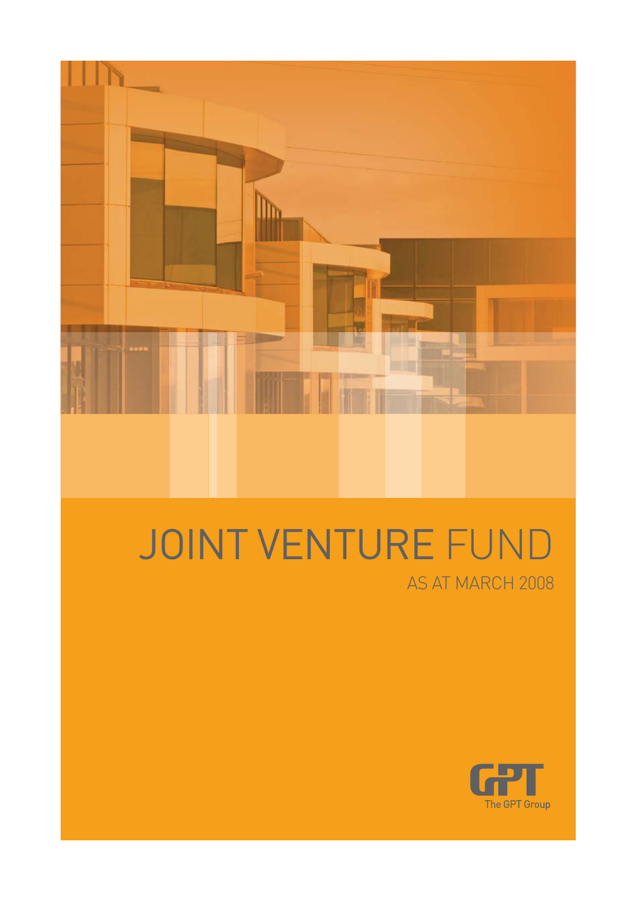![](_page_14_Picture_0.jpeg)

# JOINT VENTURE FUND AS AT MARCH 2008

![](_page_14_Picture_2.jpeg)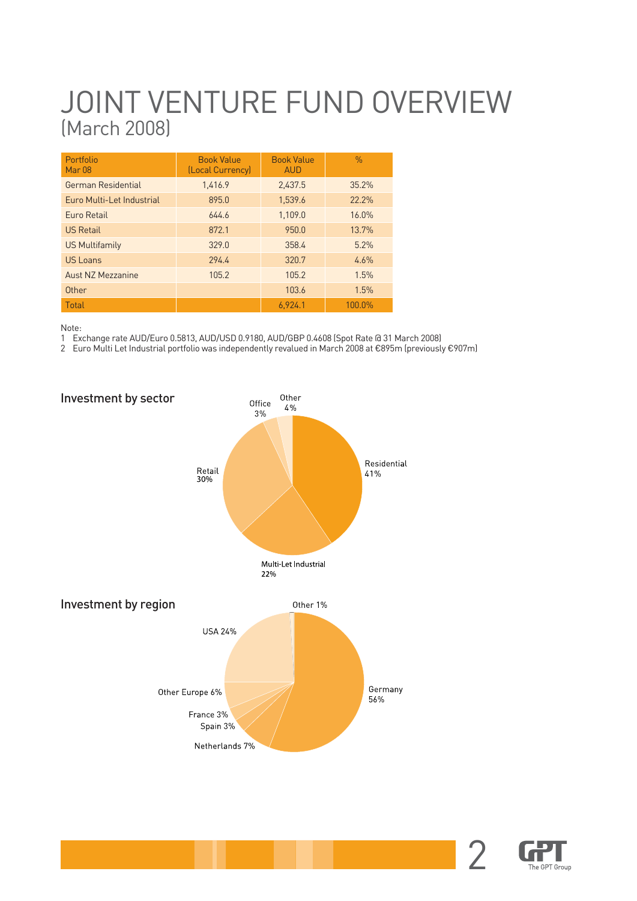# JOINT VENTURE FUND OVERVIEW (March 2008)

| Portfolio<br>Mar 08       | <b>Book Value</b><br>(Local Currency) | <b>Book Value</b><br><b>AUD</b> | $\frac{0}{0}$ |
|---------------------------|---------------------------------------|---------------------------------|---------------|
| German Residential        | 1.416.9                               | 2.437.5                         | 35.2%         |
| Euro Multi-Let Industrial | 895.0                                 | 1.539.6                         | 22.2%         |
| Furo Retail               | 6446                                  | 1,109.0                         | 16.0%         |
| <b>US Retail</b>          | 872.1                                 | 950.0                           | 13.7%         |
| <b>US Multifamily</b>     | 329.0                                 | 358.4                           | 5.2%          |
| US Loans                  | 294.4                                 | 320.7                           | 4.6%          |
| Aust NZ Mezzanine         | 105.2                                 | 105.2                           | 1.5%          |
| Other                     |                                       | 103.6                           | 1.5%          |
| Total                     |                                       | 6.924.1                         | 100.0%        |

Note:

1 Exchange rate AUD/Euro 0.5813, AUD/USD 0.9180, AUD/GBP 0.4608 (Spot Rate @ 31 March 2008)

2 Euro Multi Let Industrial portfolio was independently revalued in March 2008 at €895m (previously €907m)

![](_page_15_Figure_5.jpeg)

![](_page_15_Picture_6.jpeg)

2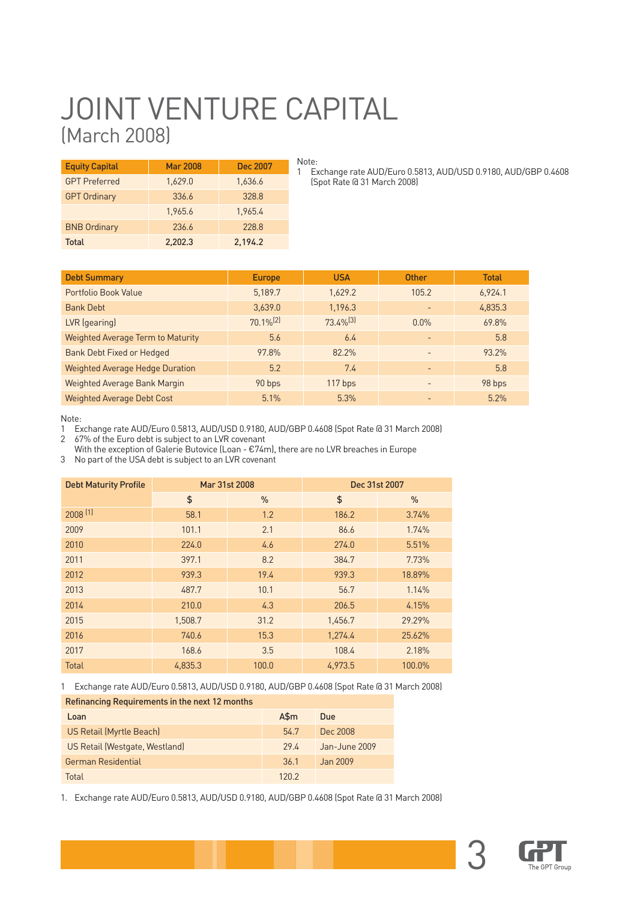# JOINT VENTURE CAPITAL (March 2008)

| <b>Equity Capital</b> | <b>Mar 2008</b> | <b>Dec 2007</b> |
|-----------------------|-----------------|-----------------|
| <b>GPT Preferred</b>  | 1,629.0         | 1,636.6         |
| <b>GPT Ordinary</b>   | 336.6           | 328.8           |
|                       | 1,965.6         | 1,965.4         |
| <b>BNB Ordinary</b>   | 236.6           | 228.8           |
| Total                 | 2.202.3         | 2,194.2         |

Note: 1 Exchange rate AUD/Euro 0.5813, AUD/USD 0.9180, AUD/GBP 0.4608 (Spot Rate @ 31 March 2008)

| <b>Debt Summary</b>                      | <b>Europe</b>           | <b>USA</b>              | <b>Other</b>             | <b>Total</b> |
|------------------------------------------|-------------------------|-------------------------|--------------------------|--------------|
| Portfolio Book Value                     | 5,189.7                 | 1,629.2                 | 105.2                    | 6,924.1      |
| <b>Bank Debt</b>                         | 3,639.0                 | 1,196.3                 |                          | 4,835.3      |
| LVR (gearing)                            | $70.1\%$ <sup>(2)</sup> | $73.4\%$ <sup>(3)</sup> | $0.0\%$                  | 69.8%        |
| <b>Weighted Average Term to Maturity</b> | 5.6                     | 6.4                     |                          | 5.8          |
| <b>Bank Debt Fixed or Hedged</b>         | 97.8%                   | 82.2%                   |                          | 93.2%        |
| <b>Weighted Average Hedge Duration</b>   | 5.2                     | 7.4                     | $\overline{\phantom{0}}$ | 5.8          |
| Weighted Average Bank Margin             | 90 bps                  | $117$ bps               | $\overline{\phantom{0}}$ | 98 bps       |
| <b>Weighted Average Debt Cost</b>        | 5.1%                    | 5.3%                    |                          | 5.2%         |

Note:

1 Exchange rate AUD/Euro 0.5813, AUD/USD 0.9180, AUD/GBP 0.4608 (Spot Rate @ 31 March 2008)

2 67% of the Euro debt is subject to an LVR covenant

With the exception of Galerie Butovice (Loan - €74m), there are no LVR breaches in Europe

3 No part of the USA debt is subject to an LVR covenant

| <b>Debt Maturity Profile</b> |         | Mar 31st 2008 | Dec 31st 2007 |               |  |
|------------------------------|---------|---------------|---------------|---------------|--|
|                              | \$      | $\frac{0}{0}$ | \$            | $\frac{0}{0}$ |  |
| $2008$ <sup>[1]</sup>        | 58.1    | 1.2           | 186.2         | 3.74%         |  |
| 2009                         | 101.1   | 2.1           | 86.6          | 1.74%         |  |
| 2010                         | 224.0   | 4.6           | 274.0         | 5.51%         |  |
| 2011                         | 397.1   | 8.2           | 384.7         | 7.73%         |  |
| 2012                         | 939.3   | 19.4          | 939.3         | 18.89%        |  |
| 2013                         | 487.7   | 10.1          | 56.7          | 1.14%         |  |
| 2014                         | 210.0   | 4.3           | 206.5         | 4.15%         |  |
| 2015                         | 1,508.7 | 31.2          | 1,456.7       | 29.29%        |  |
| 2016                         | 740.6   | 15.3          | 1,274.4       | 25.62%        |  |
| 2017                         | 168.6   | 3.5           | 108.4         | 2.18%         |  |
| <b>Total</b>                 | 4,835.3 | 100.0         | 4,973.5       | 100.0%        |  |

1 Exchange rate AUD/Euro 0.5813, AUD/USD 0.9180, AUD/GBP 0.4608 (Spot Rate @ 31 March 2008)

| Refinancing Requirements in the next 12 months |           |               |  |  |  |  |
|------------------------------------------------|-----------|---------------|--|--|--|--|
| Loan                                           | $A\$ {5m} | Due           |  |  |  |  |
| US Retail (Myrtle Beach)                       | 54.7      | Dec 2008      |  |  |  |  |
| US Retail (Westgate, Westland)                 | 29.4      | Jan-June 2009 |  |  |  |  |
| German Residential                             | 36.1      | Jan 2009      |  |  |  |  |
| Total                                          | 12በ 2     |               |  |  |  |  |

1. Exchange rate AUD/Euro 0.5813, AUD/USD 0.9180, AUD/GBP 0.4608 (Spot Rate @ 31 March 2008)

![](_page_16_Picture_13.jpeg)

3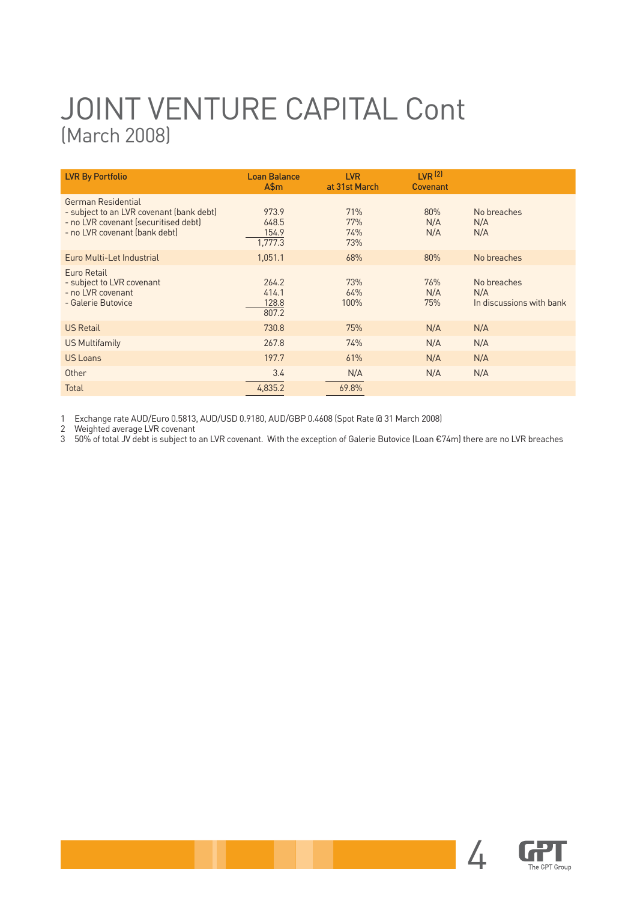# JOINT VENTURE CAPITAL Cont (March 2008)

| <b>LVR By Portfolio</b>                                                                                                                 | <b>Loan Balance</b><br>$A\$ {5m}   | <b>LVR</b><br>at 31st March | LVR <sup>(2)</sup><br><b>Covenant</b> |                                                |
|-----------------------------------------------------------------------------------------------------------------------------------------|------------------------------------|-----------------------------|---------------------------------------|------------------------------------------------|
| German Residential<br>- subject to an LVR covenant (bank debt)<br>- no LVR covenant (securitised debt)<br>- no LVR covenant (bank debt) | 973.9<br>648.5<br>154.9<br>1,777.3 | 71%<br>77%<br>74%<br>73%    | 80%<br>N/A<br>N/A                     | No breaches<br>N/A<br>N/A                      |
| Euro Multi-Let Industrial                                                                                                               | 1,051.1                            | 68%                         | 80%                                   | No breaches                                    |
| Euro Retail<br>- subject to LVR covenant<br>- no LVR covenant<br>- Galerie Butovice                                                     | 264.2<br>414.1<br>128.8<br>807.2   | 73%<br>64%<br>100%          | 76%<br>N/A<br>75%                     | No breaches<br>N/A<br>In discussions with bank |
| <b>US Retail</b>                                                                                                                        | 730.8                              | 75%                         | N/A                                   | N/A                                            |
| US Multifamily                                                                                                                          | 267.8                              | 74%                         | N/A                                   | N/A                                            |
| US Loans                                                                                                                                | 197.7                              | 61%                         | N/A                                   | N/A                                            |
| Other                                                                                                                                   | 3.4                                | N/A                         | N/A                                   | N/A                                            |
| Total                                                                                                                                   | 4,835.2                            | 69.8%                       |                                       |                                                |

1 Exchange rate AUD/Euro 0.5813, AUD/USD 0.9180, AUD/GBP 0.4608 (Spot Rate @ 31 March 2008)

2 Weighted average LVR covenant

3 50% of total JV debt is subject to an LVR covenant. With the exception of Galerie Butovice (Loan €74m) there are no LVR breaches

![](_page_17_Picture_5.jpeg)

 $\overline{\mathbf{A}}$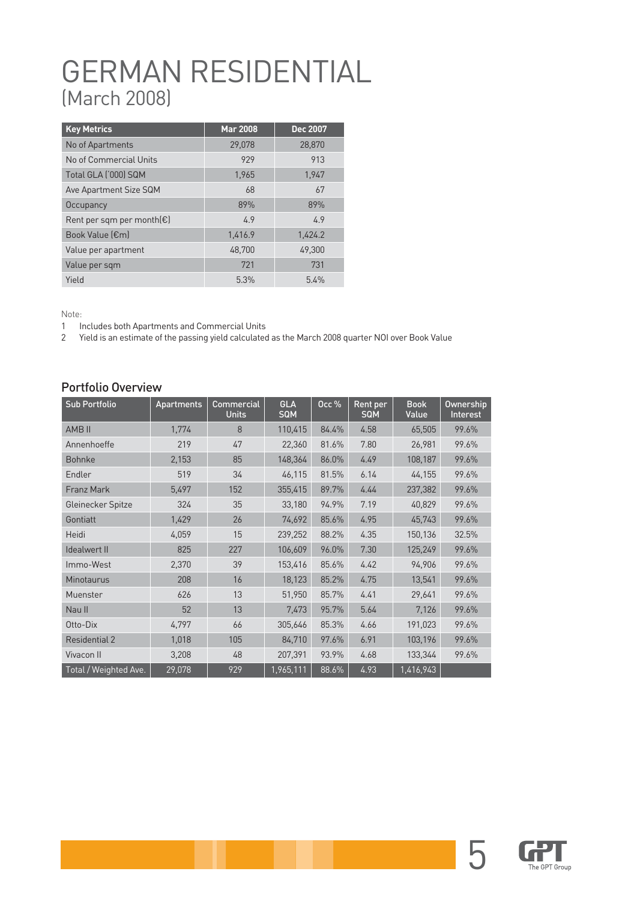# GERMAN RESIDENTIAL (March 2008)

| <b>Key Metrics</b>                | <b>Mar 2008</b> | Dec 2007 |
|-----------------------------------|-----------------|----------|
| No of Apartments                  | 29,078          | 28,870   |
| No of Commercial Units            | 929             | 913      |
| Total GLA ('000) SQM              | 1,965           | 1,947    |
| Ave Apartment Size SQM            | 68              | 67       |
| Occupancy                         | 89%             | 89%      |
| Rent per sqm per month $\epsilon$ | 4.9             | 4.9      |
| Book Value (€m)                   | 1,416.9         | 1,424.2  |
| Value per apartment               | 48,700          | 49,300   |
| Value per sqm                     | 721             | 731      |
| Yield                             | 5.3%            | 5.4%     |

Note:

1 Includes both Apartments and Commercial Units

2 Yield is an estimate of the passing yield calculated as the March 2008 quarter NOI over Book Value

#### Portfolio Overview

| <b>Sub Portfolio</b>  | <b>Apartments</b> | Commercial<br><b>Units</b> | <b>GLA</b><br><b>SQM</b> | Occ $%$ | <b>Rent per</b><br>SQM | <b>Book</b><br>Value | Ownership<br>Interest |
|-----------------------|-------------------|----------------------------|--------------------------|---------|------------------------|----------------------|-----------------------|
| <b>AMB II</b>         | 1,774             | 8                          | 110,415                  | 84.4%   | 4.58                   | 65,505               | 99.6%                 |
| Annenhoeffe           | 219               | 47                         | 22,360                   | 81.6%   | 7.80                   | 26,981               | 99.6%                 |
| <b>Bohnke</b>         | 2,153             | 85                         | 148,364                  | 86.0%   | 4.49                   | 108,187              | 99.6%                 |
| Endler                | 519               | 34                         | 46,115                   | 81.5%   | 6.14                   | 44,155               | 99.6%                 |
| <b>Franz Mark</b>     | 5,497             | 152                        | 355,415                  | 89.7%   | 4.44                   | 237,382              | 99.6%                 |
| Gleinecker Spitze     | 324               | 35                         | 33,180                   | 94.9%   | 7.19                   | 40,829               | 99.6%                 |
| Gontiatt              | 1,429             | 26                         | 74,692                   | 85.6%   | 4.95                   | 45,743               | 99.6%                 |
| Heidi                 | 4,059             | 15                         | 239,252                  | 88.2%   | 4.35                   | 150,136              | 32.5%                 |
| Idealwert II          | 825               | 227                        | 106,609                  | 96.0%   | 7.30                   | 125,249              | 99.6%                 |
| Immo-West             | 2,370             | 39                         | 153,416                  | 85.6%   | 4.42                   | 94,906               | 99.6%                 |
| <b>Minotaurus</b>     | 208               | 16                         | 18,123                   | 85.2%   | 4.75                   | 13,541               | 99.6%                 |
| Muenster              | 626               | 13                         | 51,950                   | 85.7%   | 4.41                   | 29,641               | 99.6%                 |
| Nau II                | 52                | 13                         | 7.473                    | 95.7%   | 5.64                   | 7,126                | 99.6%                 |
| Otto-Dix              | 4,797             | 66                         | 305,646                  | 85.3%   | 4.66                   | 191,023              | 99.6%                 |
| <b>Residential 2</b>  | 1,018             | 105                        | 84,710                   | 97.6%   | 6.91                   | 103,196              | 99.6%                 |
| Vivacon II            | 3,208             | 48                         | 207,391                  | 93.9%   | 4.68                   | 133,344              | 99.6%                 |
| Total / Weighted Ave. | 29,078            | 929                        | 1,965,111                | 88.6%   | 4.93                   | 1,416,943            |                       |

![](_page_18_Picture_7.jpeg)

5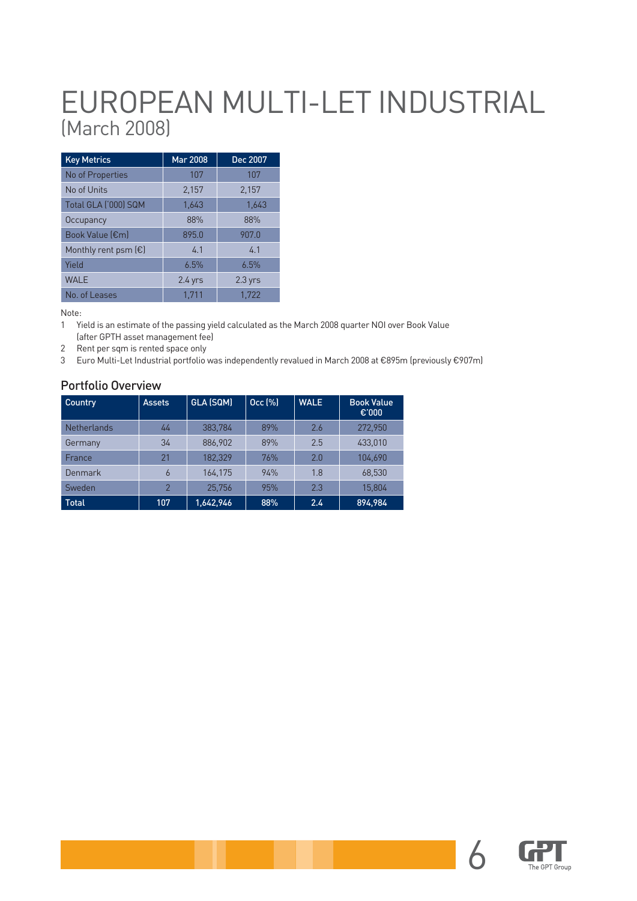# EUROPEAN MULTI-LET INDUSTRIAL (March 2008)

| <b>Key Metrics</b>            | <b>Mar 2008</b> | Dec 2007  |
|-------------------------------|-----------------|-----------|
| No of Properties              | 107             | 107       |
| No of Units                   | 2,157           | 2,157     |
| Total GLA ('000) SQM          | 1,643           | 1,643     |
| Occupancy                     | 88%             | 88%       |
| Book Value (€m)               | 895.0           | 907.0     |
| Monthly rent psm $(\epsilon)$ | 4.1             | 4.1       |
| Yield                         | 6.5%            | 6.5%      |
| <b>WALE</b>                   | $2.4$ yrs       | $2.3$ yrs |
| No. of Leases                 | 1.711           | 1.722     |

Note:

1 Yield is an estimate of the passing yield calculated as the March 2008 quarter NOI over Book Value

- (after GPTH asset management fee)
- 2 Rent per sqm is rented space only
- 3 Euro Multi-Let Industrial portfolio was independently revalued in March 2008 at €895m (previously €907m)

#### Portfolio Overview

| Country            | <b>Assets</b>  | GLA (SQM) | Occ [%] | <b>WALE</b> | <b>Book Value</b><br>€'000 |
|--------------------|----------------|-----------|---------|-------------|----------------------------|
| <b>Netherlands</b> | 44             | 383.784   | 89%     | 2.6         | 272.950                    |
| Germany            | 34             | 886,902   | 89%     | 2.5         | 433,010                    |
| France             | 21             | 182.329   | 76%     | 2.0         | 104.690                    |
| Denmark            | 6              | 164,175   | 94%     | 1.8         | 68.530                     |
| Sweden             | $\overline{2}$ | 25,756    | 95%     | 2.3         | 15,804                     |
| <b>Total</b>       | 107            | 1,642,946 | 88%     | 2.4         | 894.984                    |

![](_page_19_Picture_9.jpeg)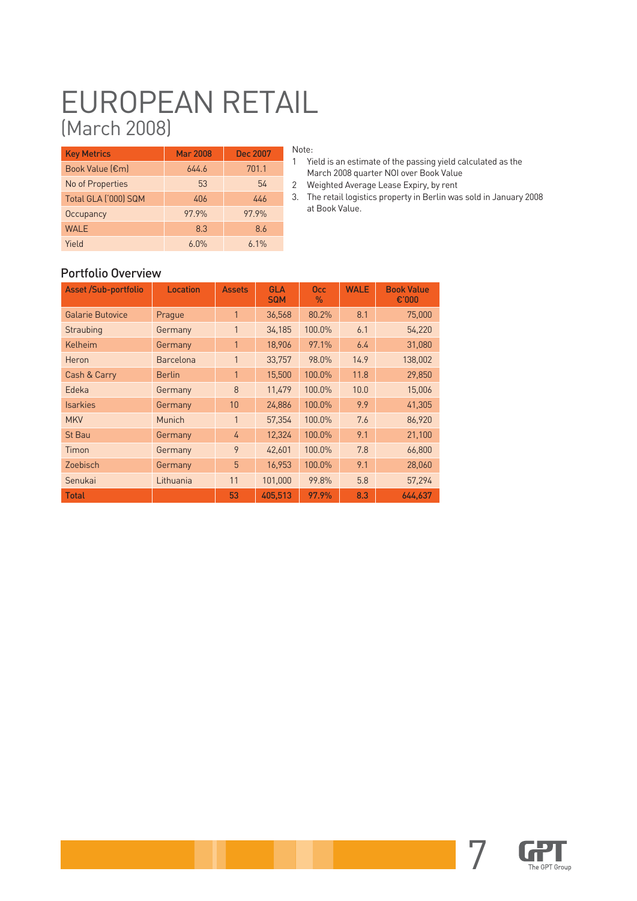# EUROPEAN RETAIL (March 2008)

| <b>Key Metrics</b>   | <b>Mar 2008</b> | <b>Dec 2007</b> |
|----------------------|-----------------|-----------------|
| Book Value (€m)      | 644.6           | 701.1           |
| No of Properties     | 53              | 54              |
| Total GLA ('000) SQM | 406             | 446             |
| Occupancy            | 97.9%           | 97.9%           |
| <b>WALE</b>          | 8.3             | 8.6             |
| Yield                | 6.0%            | 6.1%            |

#### Note:

- 1 Yield is an estimate of the passing yield calculated as the March 2008 quarter NOI over Book Value
- 2 Weighted Average Lease Expiry, by rent
- 3. The retail logistics property in Berlin was sold in January 2008 at Book Value.

#### Portfolio Overview

| <b>Asset /Sub-portfolio</b> | Location         | <b>Assets</b> | <b>GLA</b><br><b>SQM</b> | <b>Occ</b><br>$\%$ | <b>WALE</b> | <b>Book Value</b><br>€'000 |
|-----------------------------|------------------|---------------|--------------------------|--------------------|-------------|----------------------------|
| <b>Galarie Butovice</b>     | Prague           | $\mathbf{1}$  | 36,568                   | 80.2%              | 8.1         | 75,000                     |
| Straubing                   | Germany          | 1             | 34,185                   | 100.0%             | 6.1         | 54,220                     |
| Kelheim                     | Germany          | 1             | 18,906                   | 97.1%              | 6.4         | 31,080                     |
| Heron                       | <b>Barcelona</b> | 1             | 33,757                   | 98.0%              | 14.9        | 138,002                    |
| Cash & Carry                | <b>Berlin</b>    | $\mathbf{1}$  | 15,500                   | 100.0%             | 11.8        | 29,850                     |
| Edeka                       | Germany          | 8             | 11,479                   | 100.0%             | 10.0        | 15,006                     |
| <b>Isarkies</b>             | Germany          | 10            | 24,886                   | 100.0%             | 9.9         | 41,305                     |
| <b>MKV</b>                  | Munich           | 1             | 57,354                   | 100.0%             | 7.6         | 86,920                     |
| <b>St Bau</b>               | Germany          | 4             | 12,324                   | 100.0%             | 9.1         | 21,100                     |
| Timon                       | Germany          | 9             | 42,601                   | 100.0%             | 7.8         | 66,800                     |
| Zoebisch                    | Germany          | 5             | 16,953                   | 100.0%             | 9.1         | 28,060                     |
| Senukai                     | Lithuania        | 11            | 101,000                  | 99.8%              | 5.8         | 57,294                     |
| <b>Total</b>                |                  | 53            | 405,513                  | 97.9%              | 8.3         | 644.637                    |

![](_page_20_Picture_8.jpeg)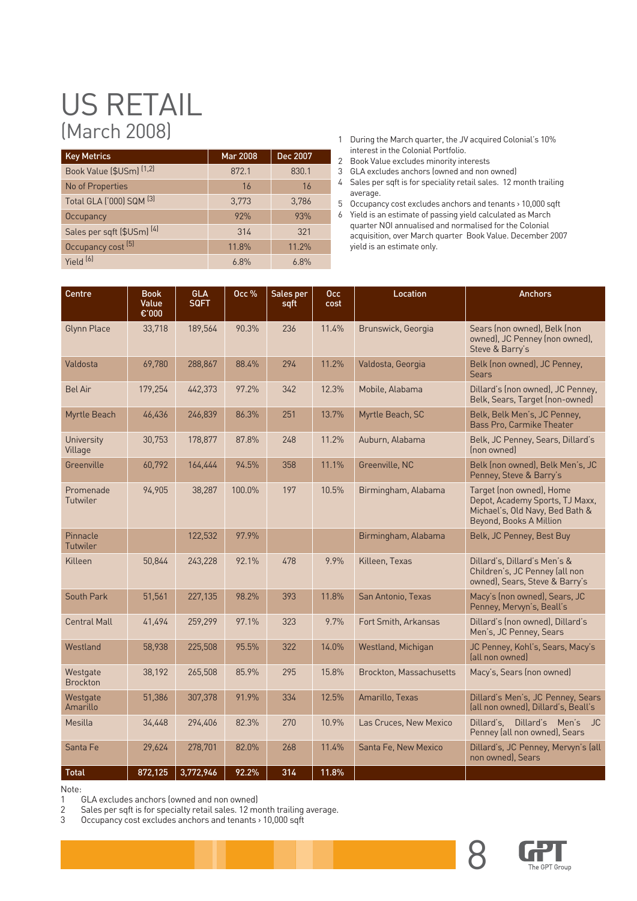# US RETAIL (March 2008)

| <b>Key Metrics</b>                    | <b>Mar 2008</b> | Dec 2007 |
|---------------------------------------|-----------------|----------|
| Book Value (\$USm) <a>[1,2]</a>       | 872.1           | 830.1    |
| No of Properties                      | <b>16</b>       | 16       |
| Total GLA ('000) SQM <a>[3]</a>       | 3,773           | 3,786    |
| Occupancy                             | 92%             | 93%      |
| Sales per sqft (\$USm) <sup>(4)</sup> | 314             | 321      |
| Occupancy cost [5]                    | 11.8%           | 11.2%    |
| Yield <sup>(6)</sup>                  | 6.8%            | 6.8%     |

- 1 During the March quarter, the JV acquired Colonial's 10% interest in the Colonial Portfolio.
- 2 Book Value excludes minority interests
- 3 GLA excludes anchors (owned and non owned)
- 4 Sales per sqft is for speciality retail sales. 12 month trailing average.
- 5 Occupancy cost excludes anchors and tenants > 10,000 sqft 6 Yield is an estimate of passing yield calculated as March quarter NOI annualised and normalised for the Colonial acquisition, over March quarter Book Value. December 2007 yield is an estimate only.

| Centre                      | <b>Book</b><br>Value | <b>GLA</b><br><b>SQFT</b> | Occ $%$ | Sales per | Occ.  | <b>Location</b>                | <b>Anchors</b>                                                                                                            |
|-----------------------------|----------------------|---------------------------|---------|-----------|-------|--------------------------------|---------------------------------------------------------------------------------------------------------------------------|
|                             | €'000                |                           |         | sqft      | cost  |                                |                                                                                                                           |
| <b>Glynn Place</b>          | 33,718               | 189,564                   | 90.3%   | 236       | 11.4% | Brunswick, Georgia             | Sears (non owned), Belk (non<br>owned), JC Penney (non owned),<br>Steve & Barry's                                         |
| Valdosta                    | 69,780               | 288,867                   | 88.4%   | 294       | 11.2% | Valdosta, Georgia              | Belk (non owned), JC Penney,<br><b>Sears</b>                                                                              |
| <b>Bel Air</b>              | 179,254              | 442,373                   | 97.2%   | 342       | 12.3% | Mobile, Alabama                | Dillard's (non owned), JC Penney,<br>Belk, Sears, Target (non-owned)                                                      |
| Myrtle Beach                | 46,436               | 246,839                   | 86.3%   | 251       | 13.7% | Myrtle Beach, SC               | Belk, Belk Men's, JC Penney,<br><b>Bass Pro, Carmike Theater</b>                                                          |
| University<br>Village       | 30,753               | 178,877                   | 87.8%   | 248       | 11.2% | Auburn, Alabama                | Belk, JC Penney, Sears, Dillard's<br>Inon owned                                                                           |
| Greenville                  | 60,792               | 164,444                   | 94.5%   | 358       | 11.1% | Greenville, NC                 | Belk (non owned), Belk Men's, JC<br>Penney, Steve & Barry's                                                               |
| Promenade<br>Tutwiler       | 94,905               | 38,287                    | 100.0%  | 197       | 10.5% | Birmingham, Alabama            | Target (non owned), Home<br>Depot, Academy Sports, TJ Maxx,<br>Michael's, Old Navy, Bed Bath &<br>Beyond, Books A Million |
| Pinnacle<br><b>Tutwiler</b> |                      | 122,532                   | 97.9%   |           |       | Birmingham, Alabama            | Belk, JC Penney, Best Buy                                                                                                 |
| Killeen                     | 50,844               | 243,228                   | 92.1%   | 478       | 9.9%  | Killeen, Texas                 | Dillard's, Dillard's Men's &<br>Children's, JC Penney (all non<br>owned), Sears, Steve & Barry's                          |
| South Park                  | 51,561               | 227,135                   | 98.2%   | 393       | 11.8% | San Antonio, Texas             | Macy's (non owned), Sears, JC<br>Penney, Mervyn's, Beall's                                                                |
| <b>Central Mall</b>         | 41,494               | 259,299                   | 97.1%   | 323       | 9.7%  | Fort Smith, Arkansas           | Dillard's (non owned), Dillard's<br>Men's, JC Penney, Sears                                                               |
| Westland                    | 58.938               | 225,508                   | 95.5%   | 322       | 14.0% | Westland, Michigan             | JC Penney, Kohl's, Sears, Macy's<br>(all non owned)                                                                       |
| Westgate<br><b>Brockton</b> | 38,192               | 265,508                   | 85.9%   | 295       | 15.8% | <b>Brockton, Massachusetts</b> | Macy's, Sears (non owned)                                                                                                 |
| Westgate<br>Amarillo        | 51,386               | 307,378                   | 91.9%   | 334       | 12.5% | Amarillo, Texas                | Dillard's Men's, JC Penney, Sears<br>(all non owned), Dillard's, Beall's                                                  |
| Mesilla                     | 34,448               | 294,406                   | 82.3%   | 270       | 10.9% | Las Cruces, New Mexico         | Dillard's Men's JC<br>Dillard's.<br>Penney (all non owned), Sears                                                         |
| Santa Fe                    | 29,624               | 278,701                   | 82.0%   | 268       | 11.4% | Santa Fe, New Mexico           | Dillard's, JC Penney, Mervyn's (all<br>non owned), Sears                                                                  |
| <b>Total</b>                | 872,125              | 3,772,946                 | 92.2%   | 314       | 11.8% |                                |                                                                                                                           |

Note:

1 GLA excludes anchors (owned and non owned)<br>2 Sales per sqft is for specialty retail sales. 12 mo

2 Sales per sqft is for specialty retail sales. 12 month trailing average.<br>2 Sales per sqft is for specialty retail sales. 12 month trailing average.

Occupancy cost excludes anchors and tenants > 10,000 sqft

![](_page_21_Picture_12.jpeg)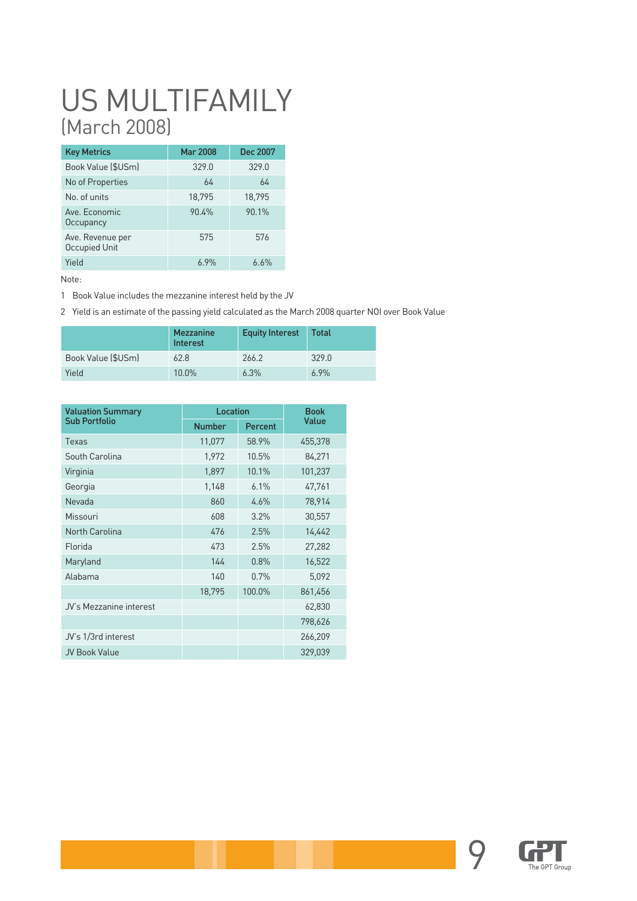# US MULTIFAMILY (March 2008)

| <b>Key Metrics</b>                | <b>Mar 2008</b> | Dec 2007 |
|-----------------------------------|-----------------|----------|
| Book Value (\$USm)                | 329.0           | 329.0    |
| No of Properties                  | 64              | 64       |
| No. of units                      | 18,795          | 18,795   |
| Ave. Economic<br>Occupancy        | 90.4%           | 90.1%    |
| Ave. Revenue per<br>Occupied Unit | 575             | 576      |
| Yield                             | 6.9%            | 6.6%     |

Note:

1 Book Value includes the mezzanine interest held by the JV

2 Yield is an estimate of the passing yield calculated as the March 2008 quarter NOI over Book Value

|                    | Mezzanine<br>Interest | <b>Equity Interest</b> | Total |
|--------------------|-----------------------|------------------------|-------|
| Book Value (\$USm) | 62.8                  | 266.2                  | 329.0 |
| Yield              | 10.0%                 | 6.3%                   | 6.9%  |

| <b>Valuation Summary</b> |               | Location |         |  |  |  |
|--------------------------|---------------|----------|---------|--|--|--|
| <b>Sub Portfolio</b>     | <b>Number</b> | Percent  | Value   |  |  |  |
| Texas                    | 11,077        | 58.9%    | 455,378 |  |  |  |
| South Carolina           | 1,972         | 10.5%    | 84,271  |  |  |  |
| Virginia                 | 1,897         | 10.1%    | 101,237 |  |  |  |
| Georgia                  | 1,148         | 6.1%     | 47,761  |  |  |  |
| Nevada                   | 860           | 4.6%     | 78,914  |  |  |  |
| Missouri                 | 608           | 3.2%     | 30,557  |  |  |  |
| North Carolina           | 476           | 2.5%     | 14,442  |  |  |  |
| Florida                  | 473           | 2.5%     | 27,282  |  |  |  |
| Maryland                 | 144           | 0.8%     | 16,522  |  |  |  |
| Alabama                  | 140           | 0.7%     | 5,092   |  |  |  |
|                          | 18,795        | 100.0%   | 861,456 |  |  |  |
| JV's Mezzanine interest  |               |          | 62,830  |  |  |  |
|                          |               |          | 798,626 |  |  |  |
| JV's 1/3rd interest      |               |          | 266,209 |  |  |  |
| JV Book Value            |               |          | 329,039 |  |  |  |

![](_page_22_Picture_7.jpeg)

![](_page_22_Picture_8.jpeg)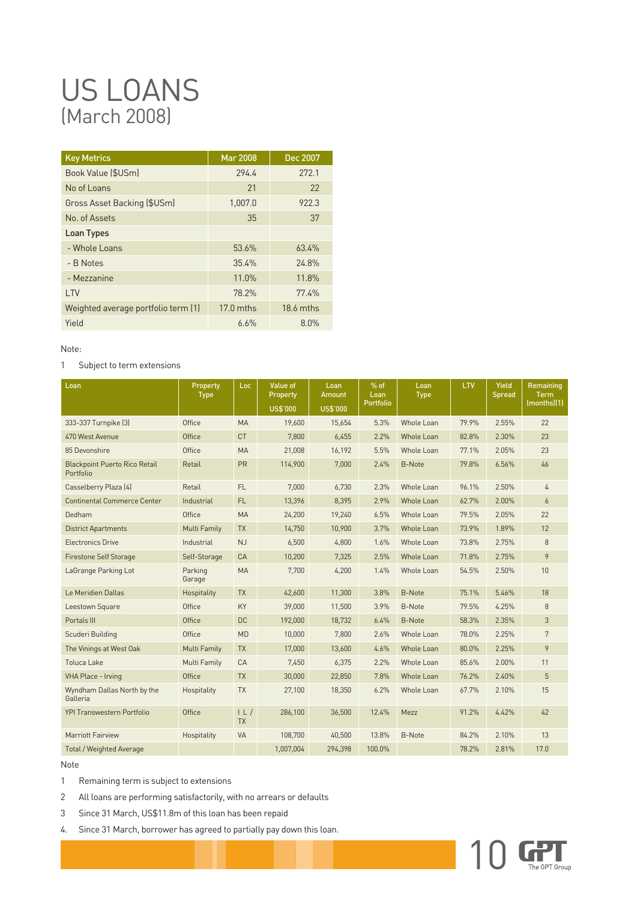# US LOANS (March 2008)

| <b>Key Metrics</b>                  | <b>Mar 2008</b> | Dec 2007  |
|-------------------------------------|-----------------|-----------|
| Book Value (\$USm)                  | 2944            | 272.1     |
| No of Loans                         | 21              | 22        |
| Gross Asset Backing (\$USm)         | 1,007.0         | 922.3     |
| No. of Assets                       | 35              | 37        |
| Loan Types                          |                 |           |
| - Whole Loans                       | 53.6%           | 63.4%     |
| - B Notes                           | 35.4%           | 24.8%     |
| - Mezzanine                         | 11.0%           | 11.8%     |
| LTV                                 | 78.2%           | 77.4%     |
| Weighted average portfolio term (1) | $17.0$ mths     | 18.6 mths |
| Yield                               | 6.6%            | 8.0%      |

Note:

#### 1 Subject to term extensions

| Loan                                              | Property<br><b>Type</b> | Loc.            | <b>Value of</b><br>Property<br>US\$'000 | Loan<br>Amount<br>US\$'000 | $%$ of<br>Loan<br>Portfolio | Loan<br><b>Type</b> | LTV   | Yield<br>Spread | Remaining<br><b>Term</b><br>(months)(1) |
|---------------------------------------------------|-------------------------|-----------------|-----------------------------------------|----------------------------|-----------------------------|---------------------|-------|-----------------|-----------------------------------------|
| 333-337 Turnpike [3]                              | Office                  | <b>MA</b>       | 19.600                                  | 15,654                     | 5.3%                        | Whole Loan          | 79.9% | 2.55%           | 22                                      |
| 470 West Avenue                                   | Office                  | <b>CT</b>       | 7,800                                   | 6,455                      | 2.2%                        | <b>Whole Loan</b>   | 82.8% | 2.30%           | 23                                      |
| 85 Devonshire                                     | Office                  | <b>MA</b>       | 21.008                                  | 16.192                     | 5.5%                        | <b>Whole Loan</b>   | 77.1% | 2.05%           | 23                                      |
| <b>Blackpoint Puerto Rico Retail</b><br>Portfolio | Retail                  | <b>PR</b>       | 114,900                                 | 7,000                      | 2.4%                        | <b>B-Note</b>       | 79.8% | 6.56%           | 46                                      |
| Casselberry Plaza (4)                             | Retail                  | FL.             | 7,000                                   | 6,730                      | 2.3%                        | Whole Loan          | 96.1% | 2.50%           | $\overline{4}$                          |
| <b>Continental Commerce Center</b>                | Industrial              | FL.             | 13,396                                  | 8,395                      | 2.9%                        | Whole Loan          | 62.7% | 2.00%           | 6                                       |
| Dedham                                            | Office                  | <b>MA</b>       | 24,200                                  | 19,240                     | 6.5%                        | <b>Whole Loan</b>   | 79.5% | 2.05%           | 22                                      |
| <b>District Apartments</b>                        | <b>Multi Family</b>     | <b>TX</b>       | 14.750                                  | 10,900                     | 3.7%                        | <b>Whole Loan</b>   | 73.9% | 1.89%           | 12                                      |
| <b>Electronics Drive</b>                          | Industrial              | NJ              | 6,500                                   | 4,800                      | 1.6%                        | <b>Whole Loan</b>   | 73.8% | 2.75%           | 8                                       |
| <b>Firestone Self Storage</b>                     | Self-Storage            | CA              | 10.200                                  | 7.325                      | 2.5%                        | <b>Whole Loan</b>   | 71.8% | 2.75%           | 9                                       |
| LaGrange Parking Lot                              | Parking<br>Garage       | <b>MA</b>       | 7,700                                   | 4,200                      | 1.4%                        | Whole Loan          | 54.5% | 2.50%           | 10                                      |
| Le Meridien Dallas                                | Hospitality             | <b>TX</b>       | 42,600                                  | 11,300                     | 3.8%                        | <b>B-Note</b>       | 75.1% | 5.46%           | 18                                      |
| Leestown Square                                   | Office                  | KY              | 39,000                                  | 11,500                     | 3.9%                        | <b>B-Note</b>       | 79.5% | 4.25%           | 8                                       |
| Portals III                                       | Office                  | <b>DC</b>       | 192,000                                 | 18,732                     | 6.4%                        | <b>B-Note</b>       | 58.3% | 2.35%           | 3                                       |
| Scuderi Building                                  | Office                  | <b>MD</b>       | 10,000                                  | 7.800                      | 2.6%                        | <b>Whole Loan</b>   | 78.0% | 2.25%           | 7                                       |
| The Vinings at West Oak                           | <b>Multi Family</b>     | <b>TX</b>       | 17,000                                  | 13,600                     | 4.6%                        | <b>Whole Loan</b>   | 80.0% | 2.25%           | 9                                       |
| <b>Toluca Lake</b>                                | Multi Family            | CA              | 7,450                                   | 6,375                      | 2.2%                        | <b>Whole Loan</b>   | 85.6% | 2.00%           | 11                                      |
| VHA Place - Irving                                | Office                  | <b>TX</b>       | 30,000                                  | 22,850                     | 7.8%                        | <b>Whole Loan</b>   | 76.2% | 2.40%           | 5                                       |
| Wyndham Dallas North by the<br>Galleria           | Hospitality             | <b>TX</b>       | 27,100                                  | 18,350                     | 6.2%                        | Whole Loan          | 67.7% | 2.10%           | 15                                      |
| <b>YPI Transwestern Portfolio</b>                 | Office                  | L <br><b>TX</b> | 286.100                                 | 36,500                     | 12.4%                       | Mezz                | 91.2% | 4.42%           | 42                                      |
| Marriott Fairview                                 | Hospitality             | <b>VA</b>       | 108.700                                 | 40,500                     | 13.8%                       | B-Note              | 84.2% | 2.10%           | 13                                      |
| <b>Total / Weighted Average</b>                   |                         |                 | 1,007,004                               | 294,398                    | 100.0%                      |                     | 78.2% | 2.81%           | 17.0                                    |

#### Note

- 1 Remaining term is subject to extensions
- 2 All loans are performing satisfactorily, with no arrears or defaults
- 3 Since 31 March, US\$11.8m of this loan has been repaid
- 4. Since 31 March, borrower has agreed to partially pay down this loan.

![](_page_23_Picture_10.jpeg)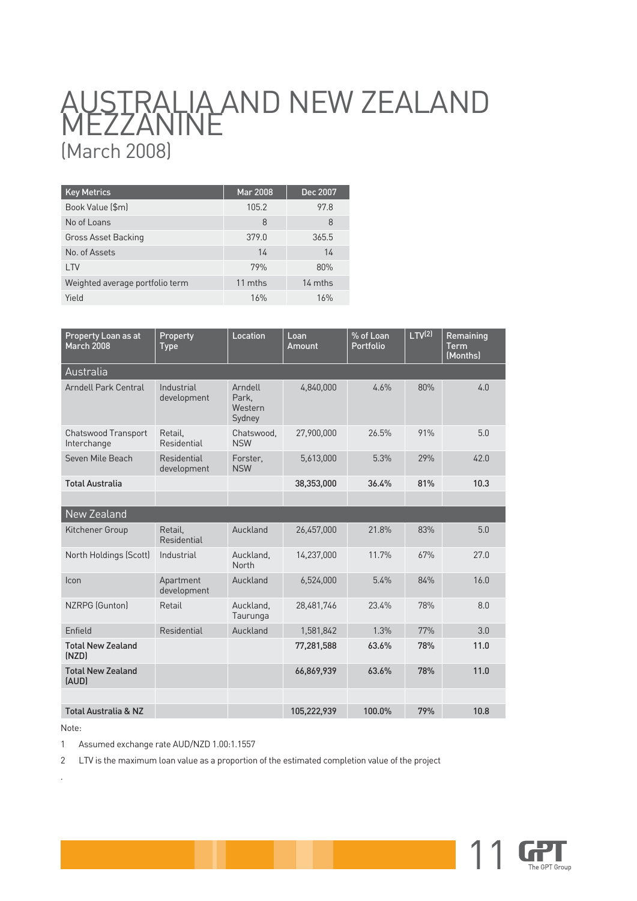# AUSTRALIA AND NEW ZEALAND **MEZZANINE** (March 2008)

| <b>Key Metrics</b>              | Mar 2008 | Dec 2007 |
|---------------------------------|----------|----------|
| Book Value (\$m)                | 105.2    | 97.8     |
| No of Loans                     | 8        | 8        |
| Gross Asset Backing             | 379.0    | 365.5    |
| No. of Assets                   | 14       | 14       |
| LTV                             | 79%      | 80%      |
| Weighted average portfolio term | 11 mths  | 14 mths  |
| Yield                           | 16%      | 16%      |

| Property Loan as at<br><b>March 2008</b>  | Property<br>Type           | Location                              | Loan<br>Amount | % of Loan<br>Portfolio | LTV <sup>(2)</sup> | Remaining<br><b>Term</b><br>(Months) |
|-------------------------------------------|----------------------------|---------------------------------------|----------------|------------------------|--------------------|--------------------------------------|
| Australia                                 |                            |                                       |                |                        |                    |                                      |
| Arndell Park Central                      | Industrial<br>development  | Arndell<br>Park,<br>Western<br>Sydney | 4,840,000      | 4.6%                   | 80%                | 4.0                                  |
| <b>Chatswood Transport</b><br>Interchange | Retail.<br>Residential     | Chatswood,<br><b>NSW</b>              | 27,900,000     | 26.5%                  | 91%                | 5.0                                  |
| Seven Mile Beach                          | Residential<br>development | Forster.<br><b>NSW</b>                | 5,613,000      | 5.3%                   | 29%                | 42.0                                 |
| <b>Total Australia</b>                    |                            |                                       | 38,353,000     | 36.4%                  | 81%                | 10.3                                 |
|                                           |                            |                                       |                |                        |                    |                                      |
| New Zealand                               |                            |                                       |                |                        |                    |                                      |
| Kitchener Group                           | Retail.<br>Residential     | Auckland                              | 26,457,000     | 21.8%                  | 83%                | 5.0                                  |
| North Holdings (Scott)                    | Industrial                 | Auckland,<br>North                    | 14,237,000     | 11.7%                  | 67%                | 27.0                                 |
| Icon                                      | Apartment<br>development   | Auckland                              | 6,524,000      | 5.4%                   | 84%                | 16.0                                 |
| NZRPG (Gunton)                            | Retail                     | Auckland,<br>Taurunga                 | 28.481.746     | 23.4%                  | 78%                | 8.0                                  |
| Enfield                                   | Residential                | Auckland                              | 1,581,842      | 1.3%                   | 77%                | 3.0                                  |
| <b>Total New Zealand</b><br>(NZD)         |                            |                                       | 77,281,588     | 63.6%                  | 78%                | 11.0                                 |
| <b>Total New Zealand</b><br>(AUD)         |                            |                                       | 66,869,939     | 63.6%                  | 78%                | 11.0                                 |
|                                           |                            |                                       |                |                        |                    |                                      |
| <b>Total Australia &amp; NZ</b>           |                            |                                       | 105,222,939    | 100.0%                 | 79%                | 10.8                                 |

Note:

.

1 Assumed exchange rate AUD/NZD 1.00:1.1557

2 LTV is the maximum loan value as a proportion of the estimated completion value of the project

![](_page_24_Picture_6.jpeg)